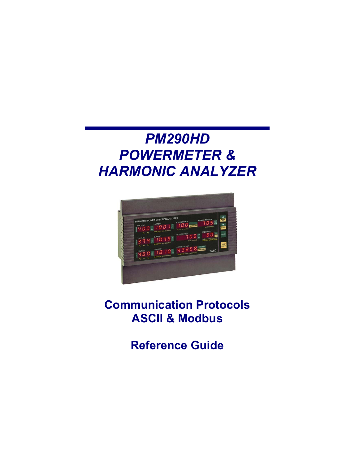# *PM290HD POWERMETER & HARMONIC ANALYZER*



**Communication Protocols ASCII & Modbus** 

**Reference Guide**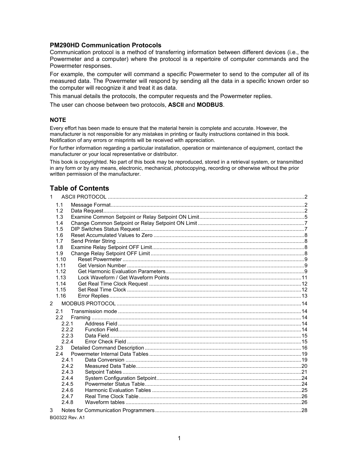#### **PM290HD Communication Protocols**

Communication protocol is a method of transferring information between different devices (i.e., the Powermeter and a computer) where the protocol is a repertoire of computer commands and the Powermeter responses.

For example, the computer will command a specific Powermeter to send to the computer all of its measured data. The Powermeter will respond by sending all the data in a specific known order so the computer will recognize it and treat it as data.

This manual details the protocols, the computer requests and the Powermeter replies.

The user can choose between two protocols, **ASCII** and **MODBUS**.

#### **NOTE**

Every effort has been made to ensure that the material herein is complete and accurate. However, the manufacturer is not responsible for any mistakes in printing or faulty instructions contained in this book. Notification of any errors or misprints will be received with appreciation.

For further information regarding a particular installation, operation or maintenance of equipment, contact the manufacturer or your local representative or distributor.

This book is copyrighted. No part of this book may be reproduced, stored in a retrieval system, or transmitted in any form or by any means, electronic, mechanical, photocopying, recording or otherwise without the prior written permission of the manufacturer.

# **Table of Contents**

| $\mathbf{1}$   |              |  |
|----------------|--------------|--|
|                | 1.1          |  |
|                | 1.2          |  |
|                | 1.3          |  |
|                | 1.4          |  |
|                | 1.5          |  |
|                | 1.6          |  |
|                | 1.7          |  |
|                | 1.8          |  |
|                | 1.9          |  |
|                | 1.10         |  |
|                | 1.11         |  |
|                | 1.12         |  |
|                | 1.13<br>1.14 |  |
|                | 1.15         |  |
|                | 1.16         |  |
|                |              |  |
| $\overline{2}$ |              |  |
|                | 2.1          |  |
|                | 2.2          |  |
|                | 2.2.1        |  |
|                | 2.2.2        |  |
|                | 2.2.3        |  |
|                | 2.2.4        |  |
|                | 24           |  |
|                | 2.4.1        |  |
|                | 2.4.2        |  |
|                | 2.4.3        |  |
|                | 2.4.4        |  |
|                | 2.4.5        |  |
|                | 2.4.6        |  |
|                | 2.4.7        |  |
|                | 2.4.8        |  |
| 3              |              |  |
|                |              |  |

BG0322 Rev. A1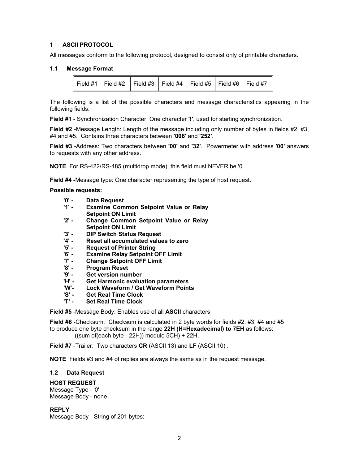## <span id="page-2-0"></span>**1 ASCII PROTOCOL**

All messages conform to the following protocol, designed to consist only of printable characters.

## **1.1 Message Format**

<span id="page-2-1"></span>

|  | ▌Field #1 │ Field #2 │ Field #3 │ Field #4 │ Field #5 │ Field #6 │ Field #7 |  |  |  |  |  |
|--|-----------------------------------------------------------------------------|--|--|--|--|--|
|--|-----------------------------------------------------------------------------|--|--|--|--|--|

The following is a list of the possible characters and message characteristics appearing in the following fields:

**Field #1** - Synchronization Character: One character **'!'**, used for starting synchronization.

**Field #2** -Message Length: Length of the message including only number of bytes in fields #2, #3, #4 and #5. Contains three characters between **'006'** and **'252'**.

**Field #3** -Address: Two characters between **'00'** and **'32'**. Powermeter with address **'00'** answers to requests with any other address.

**NOTE** For RS-422/RS-485 (multidrop mode), this field must NEVER be '0'.

**Field #4** -Message type: One character representing the type of host request.

#### **Possible requests:**

- **'0' - Data Request**
- **Examine Common Setpoint Value or Relay Setpoint ON Limit**
- **'2' - Change Common Setpoint Value or Relay Setpoint ON Limit**
- **'3' - DIP Switch Status Request**
- **'4' - Reset all accumulated values to zero**
- **Request of Printer String**
- **'6' Examine Relay Setpoint OFF Limit**
- **'7' Change Setpoint OFF Limit**
- **Program Reset**
- **'9' - Get version number**
- **Get Harmonic evaluation parameters**
- **'W'- Lock Waveform / Get Waveform Points**
- **'S' - Get Real Time Clock**
- **'T' - Set Real Time Clock**

**Field #5** -Message Body: Enables use of all **ASCII** characters

**Field #6** -Checksum: Checksum is calculated in 2 byte words for fields #2, #3, #4 and #5 to produce one byte checksum in the range **22H (H=Hexadecimal) to 7EH** as follows: ((sum of(each byte - 22H)) modulo 5CH) + 22H.

**Field #7** -Trailer: Two characters **CR** (ASCII 13) and **LF** (ASCII 10) .

**NOTE** Fields #3 and #4 of replies are always the same as in the request message.

#### <span id="page-2-2"></span>**1.2 Data Request**

## **HOST REQUEST**

Message Type - '0' Message Body - none

**REPLY**  Message Body - String of 201 bytes: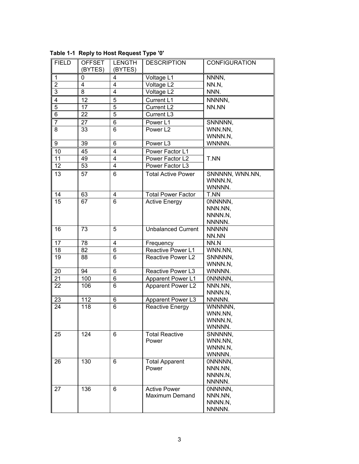| <b>FIELD</b>                     | <b>OFFSET</b><br>(BYTES)     | LENGTH<br>(BYTES) | <b>DESCRIPTION</b>        | <b>CONFIGURATION</b>       |
|----------------------------------|------------------------------|-------------------|---------------------------|----------------------------|
|                                  |                              |                   |                           |                            |
| $\mathbf{1}$<br>$\overline{2}$   | 0<br>$\overline{\mathbf{4}}$ | 4<br>4            | Voltage L1<br>Voltage L2  | NNNN,<br>NN.N.             |
| $\overline{3}$                   | 8                            | 4                 |                           | NNN.                       |
|                                  |                              |                   | Voltage L2                |                            |
| 4<br>$\overline{5}$              | 12<br>17                     | 5<br>5            | Current L1                | NNNNN,                     |
| 6                                |                              | 5                 | Current L2                | NN.NN                      |
|                                  | 22                           |                   | Current L3                |                            |
| $\overline{7}$<br>$\overline{8}$ | 27                           | 6                 | Power L1                  | SNNNNN,                    |
|                                  | 33                           | 6                 | Power L <sub>2</sub>      | WNN.NN.<br>WNNN.N,         |
| 9                                | 39                           | 6                 | Power L3                  | WNNNN.                     |
| 10                               | 45                           | 4                 | Power Factor L1           |                            |
| $11$                             | 49                           | 4                 | Power Factor L2           | T.NN                       |
| 12                               | 53                           | 4                 | Power Factor L3           |                            |
| 13                               |                              |                   | <b>Total Active Power</b> |                            |
|                                  | 57                           | 6                 |                           | SNNNNN, WNN.NN,<br>WNNN.N, |
|                                  |                              |                   |                           | WNNNN.                     |
| 14                               | 63                           | 4                 | <b>Total Power Factor</b> | T.NN                       |
| 15                               | 67                           | 6                 | <b>Active Energy</b>      | ONNNNN,                    |
|                                  |                              |                   |                           | NNN.NN.                    |
|                                  |                              |                   |                           | NNNN.N,                    |
|                                  |                              |                   |                           | NNNNN.                     |
| 16                               | 73                           | 5                 | <b>Unbalanced Current</b> | <b>NNNNN</b>               |
|                                  |                              |                   |                           | NN.NN                      |
| 17                               | 78                           | 4                 | Frequency                 | NN.N                       |
| 18                               | 82                           | 6                 | Reactive Power L1         | WNN.NN,                    |
| $\overline{19}$                  | 88                           | 6                 | Reactive Power L2         | SNNNNN,                    |
|                                  |                              |                   |                           | WNNN.N,                    |
| 20                               | 94                           | 6                 | Reactive Power L3         | WNNNN.                     |
| 21                               | 100                          | 6                 | Apparent Power L1         | ONNNNN,                    |
| 22                               | 106                          | 6                 | Apparent Power L2         | NNN.NN,                    |
|                                  |                              |                   |                           | NNNN.N,                    |
| 23                               | 112                          | 6                 | Apparent Power L3         | NNNNN.                     |
| 24                               | 118                          | 6                 | Reactive Energy           | WNNNNN.                    |
|                                  |                              |                   |                           | WNN.NN,                    |
|                                  |                              |                   |                           | WNNN.N,<br>WNNNN.          |
| 25                               | 124                          | 6                 | <b>Total Reactive</b>     | SNNNNN,                    |
|                                  |                              |                   | Power                     | WNN.NN,                    |
|                                  |                              |                   |                           | WNNN.N,                    |
|                                  |                              |                   |                           | WNNNN.                     |
| 26                               | 130                          | 6                 | <b>Total Apparent</b>     | ONNNNN,                    |
|                                  |                              |                   | Power                     | NNN.NN,                    |
|                                  |                              |                   |                           | NNNN.N,                    |
|                                  |                              |                   |                           | NNNNN.                     |
| 27                               | 136                          | 6                 | <b>Active Power</b>       | ONNNNN,                    |
|                                  |                              |                   | Maximum Demand            | NNN.NN,                    |
|                                  |                              |                   |                           | NNNN.N,                    |
|                                  |                              |                   |                           | NNNNN.                     |

**Table 1-1 Reply to Host Request Type '0'**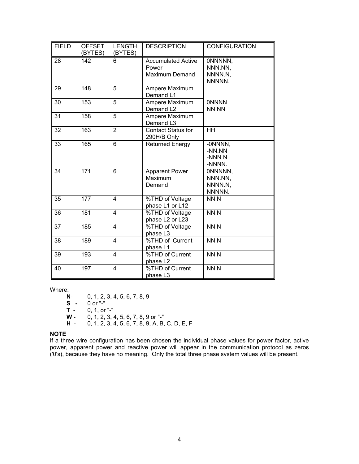| <b>FIELD</b> | <b>OFFSET</b><br>(BYTES) | <b>LENGTH</b><br>(BYTES) | <b>DESCRIPTION</b>                                          | <b>CONFIGURATION</b>                    |
|--------------|--------------------------|--------------------------|-------------------------------------------------------------|-----------------------------------------|
| 28           | 142                      | 6                        | <b>Accumulated Active</b><br>Power<br><b>Maximum Demand</b> | ONNNNN,<br>NNN.NN,<br>NNNN.N,<br>NNNNN. |
| 29           | 148                      | 5                        | Ampere Maximum<br>Demand L1                                 |                                         |
| 30           | 153                      | 5                        | Ampere Maximum<br>Demand L <sub>2</sub>                     | <b>ONNNN</b><br>NN.NN                   |
| 31           | 158                      | $\overline{5}$           | Ampere Maximum<br>Demand L3                                 |                                         |
| 32           | 163                      | $\overline{2}$           | <b>Contact Status for</b><br>290H/B Only                    | HH                                      |
| 33           | 165                      | 6                        | <b>Returned Energy</b>                                      | -0NNNN,<br>-NN.NN<br>-NNN.N<br>-NNNN.   |
| 34           | 171                      | 6                        | <b>Apparent Power</b><br>Maximum<br>Demand                  | ONNNNN.<br>NNN.NN.<br>NNNN.N.<br>NNNNN. |
| 35           | 177                      | 4                        | %THD of Voltage<br>phase L1 or L12                          | NN.N                                    |
| 36           | 181                      | 4                        | %THD of Voltage<br>phase L2 or L23                          | NN.N                                    |
| 37           | 185                      | 4                        | %THD of Voltage<br>phase L3                                 | NN.N                                    |
| 38           | 189                      | 4                        | %THD of Current<br>phase L1                                 | NN.N                                    |
| 39           | 193                      | 4                        | %THD of Current<br>phase L2                                 | NN.N                                    |
| 40           | 197                      | 4                        | %THD of Current<br>phase L <sub>3</sub>                     | NN.N                                    |

Where:<br>N-

**N**- 0, 1, 2, 3, 4, 5, 6, 7, 8, 9 **S -** 0 or "-" **T** - 0, 1, or "-"<br>**W** - 0, 1, 2, 3, **W** - 0, 1, 2, 3, 4, 5, 6, 7, 8, 9 or "-" **H** - 0, 1, 2, 3, 4, 5, 6, 7, 8, 9, A, B, C, D, E, F

#### **NOTE**

If a three wire configuration has been chosen the individual phase values for power factor, active power, apparent power and reactive power will appear in the communication protocol as zeros ('0's), because they have no meaning. Only the total three phase system values will be present.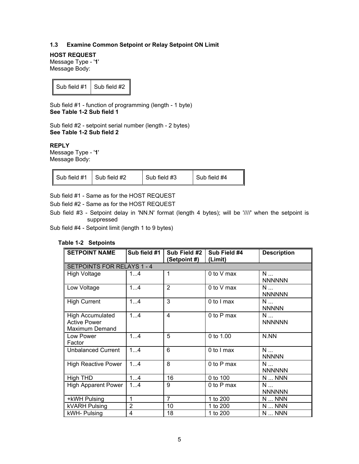## <span id="page-5-0"></span>**1.3 Examine Common Setpoint or Relay Setpoint ON Limit**

**HOST REQUEST**  Message Type - '**1**' Message Body:

Sub field  $#1$  Sub field  $#2$ 

Sub field #1 - function of programming (length - 1 byte) **See Table 1-2 Sub field 1**

Sub field #2 - setpoint serial number (length - 2 bytes) **See Table 1-2 Sub field 2**

**REPLY** 

Message Type - '**1**' Message Body:

| Sub field #4<br>Sub field #3<br>Sub field #2<br>Sub field #1 |  |  |  |  |
|--------------------------------------------------------------|--|--|--|--|
|--------------------------------------------------------------|--|--|--|--|

Sub field #1 - Same as for the HOST REQUEST

Sub field #2 - Same as for the HOST REQUEST

Sub field #3 - Setpoint delay in 'NN.N' format (length 4 bytes); will be '////' when the setpoint is suppressed

Sub field #4 - Setpoint limit (length 1 to 9 bytes)

## **Table 1-2 Setpoints**

<span id="page-5-1"></span>

| <b>SETPOINT NAME</b>                                             | Sub field #1   | Sub Field #2<br>(Setpoint #) | Sub Field #4<br>(Limit) | <b>Description</b>                |
|------------------------------------------------------------------|----------------|------------------------------|-------------------------|-----------------------------------|
| SETPOINTS FOR RELAYS 1 - 4                                       |                |                              |                         |                                   |
| High Voltage                                                     | 14             | 1                            | 0 to V max              | N<br><b>NNNNNN</b>                |
| Low Voltage                                                      | 14             | 2                            | 0 to V max              | N<br><b>NNNNNN</b>                |
| <b>High Current</b>                                              | 14             | 3                            | 0 to I max              | N<br><b>NNNNN</b>                 |
| <b>High Accumulated</b><br><b>Active Power</b><br>Maximum Demand | 14             | 4                            | 0 to P max              | N<br><b>NNNNNN</b>                |
| Low Power<br>Factor                                              | 14             | 5                            | 0 to $1.00$             | N.NN                              |
| <b>Unbalanced Current</b>                                        | 14             | 6                            | 0 to I max              | N<br><b>NNNNN</b>                 |
| <b>High Reactive Power</b>                                       | 14             | 8                            | 0 to P max              | N<br><b>NNNNNN</b>                |
| High THD                                                         | 14             | 16                           | 0 to 100                | NNN                               |
| <b>High Apparent Power</b>                                       | 14             | 9                            | 0 to P max              | $N_{\text{max}}$<br><b>NNNNNN</b> |
| +kWH Pulsing                                                     | 1              | $\overline{7}$               | 1 to 200                | NNN                               |
| <b>kVARH Pulsing</b>                                             | $\overline{2}$ | 10                           | 1 to 200                | $N$ NNN                           |
| kWH- Pulsing                                                     | 4              | 18                           | 1 to 200                | NNNN                              |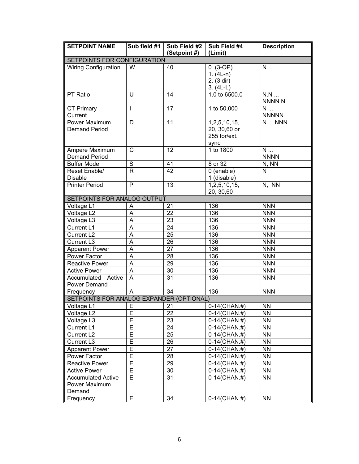| <b>SETPOINT NAME</b>                                 | Sub field #1            | Sub Field #2    | Sub Field #4                                            | <b>Description</b> |
|------------------------------------------------------|-------------------------|-----------------|---------------------------------------------------------|--------------------|
|                                                      |                         | (Setpoint #)    | (Limit)                                                 |                    |
| SETPOINTS FOR CONFIGURATION                          |                         |                 |                                                         |                    |
| <b>Wiring Configuration</b>                          | W                       | 40              | $0. (3-OP)$<br>$1. (4L-n)$<br>2. (3 dir)<br>$3. (4L-L)$ | $\mathsf{N}$       |
| PT Ratio                                             | U                       | 14              | 1.0 to 6500.0                                           | N.N<br>NNNN.N      |
| <b>CT Primary</b><br>Current                         | I                       | 17              | 1 to 50,000                                             | N<br><b>NNNNN</b>  |
| Power Maximum<br><b>Demand Period</b>                | D                       | 11              | 1,2,5,10,15,<br>20, 30,60 or<br>255 for/ext.<br>sync    | N  NNN             |
| Ampere Maximum<br><b>Demand Period</b>               | C                       | 12              | 1 to 1800                                               | N<br><b>NNNN</b>   |
| <b>Buffer Mode</b>                                   | $\overline{s}$          | 41              | 8 or 32                                                 | N, NN              |
| Reset Enable/<br><b>Disable</b>                      | $\mathsf{R}$            | 42              | 0 (enable)<br>1 (disable)                               | N                  |
| <b>Printer Period</b>                                | $\overline{P}$          | 13              | 1,2,5,10,15,<br>20, 30, 60                              | N, NN              |
| SETPOINTS FOR ANALOG OUTPUT                          |                         |                 |                                                         |                    |
| Voltage L1                                           | A                       | 21              | 136                                                     | <b>NNN</b>         |
| Voltage L2                                           | A                       | 22              | 136                                                     | <b>NNN</b>         |
| Voltage L3                                           | $\overline{\mathsf{A}}$ | 23              | 136                                                     | <b>NNN</b>         |
| Current L1                                           | A                       | 24              | 136                                                     | <b>NNN</b>         |
| Current L2                                           | A                       | 25              | 136                                                     | <b>NNN</b>         |
| Current L3                                           | $\overline{\mathsf{A}}$ | $\overline{26}$ | 136                                                     | <b>NNN</b>         |
| <b>Apparent Power</b>                                | A                       | 27              | 136                                                     | <b>NNN</b>         |
| Power Factor                                         | A                       | 28              | 136                                                     | <b>NNN</b>         |
| <b>Reactive Power</b>                                | $\overline{\mathsf{A}}$ | 29              | 136                                                     | <b>NNN</b>         |
| <b>Active Power</b>                                  | A                       | 30              | 136                                                     | <b>NNN</b>         |
| Accumulated<br>Active<br>Power Demand                | A                       | 31              | 136                                                     | <b>NNN</b>         |
| Frequency                                            | A                       | 34              | 136                                                     | <b>NNN</b>         |
| SETPOINTS FOR ANALOG EXPANDER (OPTIONAL)             |                         |                 |                                                         |                    |
| Voltage L1                                           | ᄂ                       | 21              | 0-14(CHAN.#)                                            | NN.                |
| Voltage L2                                           | E                       | 22              | $0-14$ (CHAN.#)                                         | <b>NN</b>          |
| Voltage L3                                           | Е                       | 23              | 0-14(CHAN.#)                                            | <b>NN</b>          |
| Current L1                                           | E                       | 24              | 0-14(CHAN.#)                                            | <b>NN</b>          |
| Current L <sub>2</sub>                               | E                       | 25              | 0-14(CHAN.#)                                            | <b>NN</b>          |
| Current L3                                           | Е                       | 26              | $0-14$ (CHAN.#)                                         | <b>NN</b>          |
| <b>Apparent Power</b>                                | Е                       | 27              | 0-14(CHAN.#)                                            | <b>NN</b>          |
| Power Factor                                         | Е                       | 28              | $0-14$ (CHAN.#)                                         | <b>NN</b>          |
| Reactive Power                                       | E                       | 29              | 0-14(CHAN.#)                                            | <b>NN</b>          |
| <b>Active Power</b>                                  | E                       | 30              | $0-14$ (CHAN.#)                                         | <b>NN</b>          |
| <b>Accumulated Active</b><br>Power Maximum<br>Demand | E                       | 31              | $0-14$ (CHAN.#)                                         | <b>NN</b>          |
| Frequency                                            | E                       | 34              | $0-14$ (CHAN.#)                                         | <b>NN</b>          |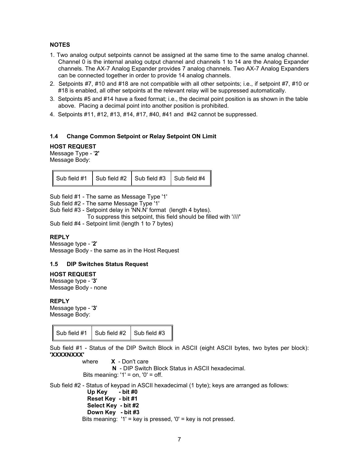## **NOTES**

- 1. Two analog output setpoints cannot be assigned at the same time to the same analog channel. Channel 0 is the internal analog output channel and channels 1 to 14 are the Analog Expander channels. The AX-7 Analog Expander provides 7 analog channels. Two AX-7 Analog Expanders can be connected together in order to provide 14 analog channels.
- 2. Setpoints #7, #10 and #18 are not compatible with all other setpoints; i.e., if setpoint #7, #10 or #18 is enabled, all other setpoints at the relevant relay will be suppressed automatically.
- 3. Setpoints #5 and #14 have a fixed format; i.e., the decimal point position is as shown in the table above. Placing a decimal point into another position is prohibited.
- 4. Setpoints #11, #12, #13, #14, #17, #40, #41 and #42 cannot be suppressed.

#### <span id="page-7-0"></span>**1.4 Change Common Setpoint or Relay Setpoint ON Limit**

#### **HOST REQUEST**

Message Type - '**2'** Message Body:

|  | Sub field #1 $\vert$ Sub field #2 $\vert$ Sub field #3 $\vert$ Sub field #4 |  |
|--|-----------------------------------------------------------------------------|--|
|  |                                                                             |  |

Sub field #1 - The same as Message Type '1'

Sub field #2 - The same Message Type '1'

Sub field #3 - Setpoint delay in 'NN.N' format (length 4 bytes).

To suppress this setpoint, this field should be filled with '////'

Sub field #4 - Setpoint limit (length 1 to 7 bytes)

#### **REPLY**

Message type - '**2**' Message Body - the same as in the Host Request

#### <span id="page-7-1"></span>**1.5 DIP Switches Status Request**

#### **HOST REQUEST**

Message type - '**3**' Message Body - none

**REPLY** 

Message type - '**3**' Message Body:

Sub field  $#1$  Sub field  $#2$  Sub field  $#3$ 

Sub field #1 - Status of the DIP Switch Block in ASCII (eight ASCII bytes, two bytes per block): **'XXXXNXXX'** 

 where **X** - Don't care  **N** - DIP Switch Block Status in ASCII hexadecimal. Bits meaning:  $'1' = on$ ,  $'0' = off$ .

Sub field #2 - Status of keypad in ASCII hexadecimal (1 byte); keys are arranged as follows:

**Up Key - bit #0 Reset Key - bit #1 Select Key - bit #2 Down Key - bit #3** Bits meaning: '1' = key is pressed, '0' = key is not pressed.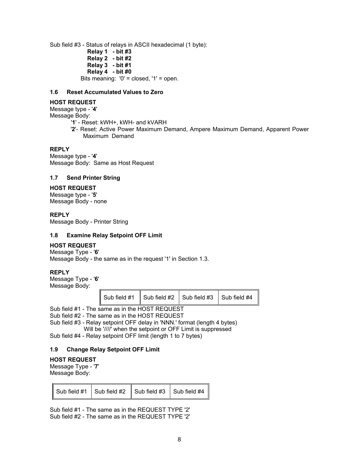Sub field #3 - Status of relays in ASCII hexadecimal (1 byte): **Relay 1 - bit #3 Relay 2 - bit #2 Relay 3 - bit #1 Relay 4 - bit #0** Bits meaning: '0' = closed, '1' = open.

## <span id="page-8-0"></span>**1.6 Reset Accumulated Values to Zero**

#### **HOST REQUEST**

Message type - '**4**' Message Body:

- '**1**' Reset: kWH+, kWH- and kVARH
- '**2**'- Reset: Active Power Maximum Demand, Ampere Maximum Demand, Apparent Power Maximum Demand

#### **REPLY**

Message type - '**4**' Message Body: Same as Host Request

#### <span id="page-8-1"></span>**1.7 Send Printer String**

#### **HOST REQUEST**

Message type - '**5**' Message Body - none

#### **REPLY**

Message Body - Printer String

#### <span id="page-8-2"></span>**1.8 Examine Relay Setpoint OFF Limit**

#### **HOST REQUEST**

Message Type - '**6**' Message Body - the same as in the request '1' in Section [1.3.](#page-5-1)

#### **REPLY**

Message Type - '**6**' Message Body:

|  | Sub field #1 $\vert$ Sub field #2 $\vert$ Sub field #3 $\vert$ Sub field #4 |  |  |
|--|-----------------------------------------------------------------------------|--|--|
|--|-----------------------------------------------------------------------------|--|--|

Sub field #1 - The same as in the HOST REQUEST Sub field #2 - The same as in the HOST REQUEST Sub field #3 - Relay setpoint OFF delay in 'NNN.' format (length 4 bytes)

Will be '////' when the setpoint or OFF Limit is suppressed Sub field #4 - Relay setpoint OFF limit (length 1 to 7 bytes)

#### <span id="page-8-3"></span>**1.9 Change Relay Setpoint OFF Limit**

#### **HOST REQUEST**

Message Type - '**7**' Message Body:

|  | Sub field #1 $\vert$ Sub field #2 $\vert$ Sub field #3 $\vert$ Sub field #4 |  |  |
|--|-----------------------------------------------------------------------------|--|--|
|--|-----------------------------------------------------------------------------|--|--|

Sub field #1 - The same as in the REQUEST TYPE '2' Sub field #2 - The same as in the REQUEST TYPE '2'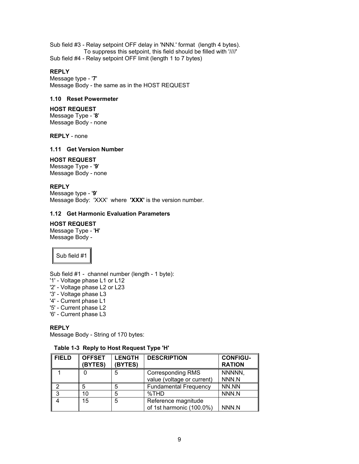Sub field #3 - Relay setpoint OFF delay in 'NNN.' format (length 4 bytes). To suppress this setpoint, this field should be filled with '////' Sub field #4 - Relay setpoint OFF limit (length 1 to 7 bytes)

#### **REPLY**

Message type - '**7**' Message Body - the same as in the HOST REQUEST

## <span id="page-9-0"></span>**1.10 Reset Powermeter**

## **HOST REQUEST**

Message Type - '**8**' Message Body - none

**REPLY** - none

## <span id="page-9-1"></span>**1.11 Get Version Number**

## **HOST REQUEST**

Message Type - '**9**' Message Body - none

## **REPLY**

Message type - '**9**' Message Body: 'XXX' where **'XXX'** is the version number.

#### <span id="page-9-2"></span>**1.12 Get Harmonic Evaluation Parameters**

## **HOST REQUEST**

Message Type - '**H**' Message Body -

Sub field #1

Sub field #1 - channel number (length - 1 byte):

- '1' Voltage phase L1 or L12
- '2' Voltage phase L2 or L23
- '3' Voltage phase L3
- '4' Current phase L1
- '5' Current phase L2
- '6' Current phase L3

## **REPLY**

Message Body - String of 170 bytes:

## **Table 1-3 Reply to Host Request Type 'H'**

| <b>FIELD</b> | <b>OFFSET</b><br>(BYTES) | <b>LENGTH</b><br>(BYTES) | <b>DESCRIPTION</b>                                     | <b>CONFIGU-</b><br><b>RATION</b> |
|--------------|--------------------------|--------------------------|--------------------------------------------------------|----------------------------------|
|              |                          | 5                        | <b>Corresponding RMS</b><br>value (voltage or current) | NNNNN,<br>NNN.N                  |
|              | 5                        | 5                        | <b>Fundamental Frequency</b>                           | NN.NN                            |
| 3            | 10                       | 5                        | %THD                                                   | NNN.N                            |
|              | 15                       | 5                        | Reference magnitude<br>of 1st harmonic (100.0%)        | NNN.N                            |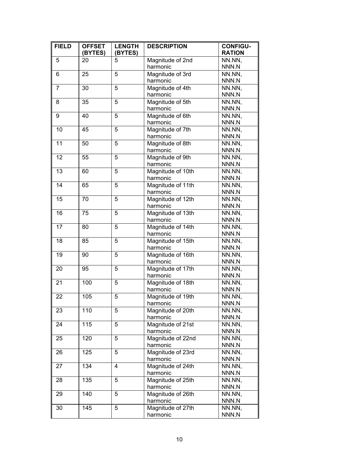| <b>FIELD</b>     | <b>OFFSET</b><br>(BYTES) | <b>LENGTH</b><br>(BYTES) | <b>DESCRIPTION</b>            | <b>CONFIGU-</b><br><b>RATION</b> |
|------------------|--------------------------|--------------------------|-------------------------------|----------------------------------|
| 5                | 20                       | 5                        | Magnitude of 2nd              | NN.NN,                           |
|                  |                          |                          | harmonic                      | NNN.N                            |
| 6                | 25                       | 5                        | Magnitude of 3rd              | NN.NN,                           |
|                  |                          |                          | harmonic                      | NNN.N                            |
| $\overline{7}$   | 30                       | 5                        | Magnitude of 4th              | NN.NN,                           |
|                  |                          |                          | harmonic                      | NNN.N                            |
| 8                | 35                       | 5                        | Magnitude of 5th              | NN.NN,                           |
|                  |                          |                          | harmonic                      | NNN.N                            |
| $\boldsymbol{9}$ | 40                       | 5                        | Magnitude of 6th              | NN.NN,                           |
|                  |                          |                          | harmonic                      | NNN.N                            |
| 10               | 45                       | 5                        | Magnitude of 7th              | NN.NN,                           |
|                  |                          |                          | harmonic                      | NNN.N                            |
| 11               | 50                       | 5                        | Magnitude of 8th              | NN.NN,                           |
|                  |                          |                          | harmonic                      | NNN.N                            |
| 12               | 55                       | $\overline{5}$           | Magnitude of 9th              | NN.NN,                           |
|                  |                          |                          | harmonic                      | NNN.N                            |
| 13               | 60                       | 5                        | Magnitude of 10th             | NN.NN,                           |
|                  |                          |                          | harmonic                      | NNN.N                            |
| 14               | 65                       | 5                        | Magnitude of 11th             | NN.NN,                           |
| 15               | 70                       | $\overline{5}$           | harmonic<br>Magnitude of 12th | NNN.N                            |
|                  |                          |                          | harmonic                      | NN.NN,<br>NNN.N                  |
| 16               | 75                       | 5                        | Magnitude of 13th             | NN.NN,                           |
|                  |                          |                          | harmonic                      | NNN.N                            |
| $\overline{17}$  | 80                       | 5                        | Magnitude of 14th             | NN.NN,                           |
|                  |                          |                          | harmonic                      | NNN.N                            |
| 18               | 85                       | $\overline{5}$           | Magnitude of 15th             | NN.NN,                           |
|                  |                          |                          | harmonic                      | NNN.N                            |
| 19               | 90                       | 5                        | Magnitude of 16th             | NN.NN,                           |
|                  |                          |                          | harmonic                      | NNN.N                            |
| 20               | 95                       | 5                        | Magnitude of 17th             | NN.NN,                           |
|                  |                          |                          | harmonic                      | NNN.N                            |
| $\overline{21}$  | 100                      | $\overline{5}$           | Magnitude of 18th             | NN.NN,                           |
|                  |                          |                          | harmonic                      | NNN.N                            |
| 22               | 105                      | 5                        | Magnitude of 19th             | NN.NN,                           |
|                  |                          |                          | harmonic                      | NNN.N                            |
| 23               | 110                      | 5                        | Magnitude of 20th             | NN.NN,                           |
|                  |                          |                          | harmonic                      | NNN.N                            |
| 24               | 115                      | 5                        | Magnitude of 21st             | NN.NN,                           |
|                  |                          |                          | harmonic                      | NNN.N                            |
| 25               | 120                      | 5                        | Magnitude of 22nd             | NN.NN,                           |
|                  |                          |                          | harmonic                      | NNN.N                            |
| 26               | 125                      | 5                        | Magnitude of 23rd             | NN.NN,                           |
|                  |                          |                          | harmonic                      | NNN.N                            |
| 27               | 134                      | 4                        | Magnitude of 24th             | NN.NN,                           |
|                  |                          |                          | harmonic                      | NNN.N                            |
| 28               | 135                      | 5                        | Magnitude of 25th             | NN.NN,                           |
|                  |                          |                          | harmonic                      | NNN.N                            |
| 29               | 140                      | 5                        | Magnitude of 26th             | NN.NN,                           |
|                  |                          |                          | harmonic                      | NNN.N                            |
| 30               | 145                      | 5                        | Magnitude of 27th             | NN.NN,                           |
|                  |                          |                          | harmonic                      | NNN.N                            |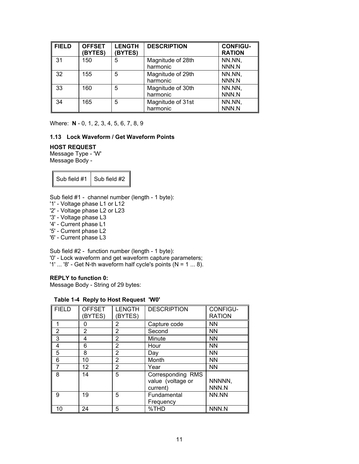| <b>FIELD</b> | <b>OFFSET</b><br>(BYTES) | <b>LENGTH</b><br>(BYTES) | <b>DESCRIPTION</b>            | <b>CONFIGU-</b><br><b>RATION</b> |
|--------------|--------------------------|--------------------------|-------------------------------|----------------------------------|
| -31          | 150                      | 5                        | Magnitude of 28th<br>harmonic | NN.NN,<br>NNN.N                  |
| 32           | 155                      | 5                        | Magnitude of 29th<br>harmonic | NN.NN,<br>NNN.N                  |
| 33           | 160                      | 5                        | Magnitude of 30th<br>harmonic | NN.NN,<br>NNN.N                  |
| 34           | 165                      | 5                        | Magnitude of 31st<br>harmonic | NN.NN,<br>NNN.N                  |

Where: **N** - 0, 1, 2, 3, 4, 5, 6, 7, 8, 9

## <span id="page-11-0"></span>**1.13 Lock Waveform / Get Waveform Points**

#### **HOST REQUEST**

Message Type - 'W' Message Body -

Sub field  $#1$  Sub field  $#2$ 

Sub field #1 - channel number (length - 1 byte):

- '1' Voltage phase L1 or L12
- '2' Voltage phase L2 or L23
- '3' Voltage phase L3
- '4' Current phase L1
- '5' Current phase L2
- '6' Current phase L3

Sub field #2 - function number (length - 1 byte):

'0' - Lock waveform and get waveform capture parameters;

'1' ... '8' - Get N-th waveform half cycle's points ( $N = 1 ... 8$ ).

## **REPLY to function 0:**

Message Body - String of 29 bytes:

## **Table 1-4 Reply to Host Request 'W0'**

| <b>FIELD</b> | <b>OFFSET</b><br><b>BYTES)</b> | <b>LENGTH</b><br>(BYTES) | <b>DESCRIPTION</b>                                 | CONFIGU-<br><b>RATION</b> |
|--------------|--------------------------------|--------------------------|----------------------------------------------------|---------------------------|
|              | 0                              | 2                        | Capture code                                       | <b>NN</b>                 |
| 2            | 2                              | 2                        | Second                                             | <b>NN</b>                 |
| 3            | 4                              | 2                        | Minute                                             | <b>NN</b>                 |
| 4            | 6                              | 2                        | Hour                                               | <b>NN</b>                 |
| 5            | 8                              | 2                        | Day                                                | <b>NN</b>                 |
| 6            | 10                             | 2                        | Month                                              | <b>NN</b>                 |
| 7            | 12 <sup>°</sup>                | 2                        | Year                                               | <b>NN</b>                 |
| 8            | 14                             | 5                        | Corresponding RMS<br>value (voltage or<br>current) | NNNNN,<br>NNN.N           |
| 9            | 19                             | 5                        | Fundamental<br>Frequency                           | NN.NN                     |
| 10           | 24                             | 5                        | %THD                                               | NNN.N                     |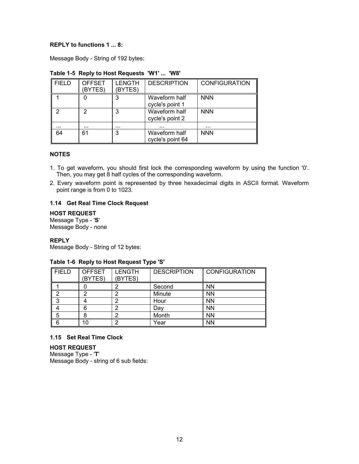## **REPLY to functions 1 ... 8:**

Message Body - String of 192 bytes:

| <b>FIELD</b> | <b>OFFSET</b><br>(BYTES) | <b>LENGTH</b><br><b>BYTES)</b> | <b>DESCRIPTION</b>                | <b>CONFIGURATION</b> |
|--------------|--------------------------|--------------------------------|-----------------------------------|----------------------|
|              |                          | 3                              | Waveform half<br>cycle's point 1  | <b>NNN</b>           |
| ◠            | っ                        | 3                              | Waveform half<br>cycle's point 2  | <b>NNN</b>           |
|              | .                        | .                              | $\cdots$                          | .                    |
| 64           | 61                       | 3                              | Waveform half<br>cycle's point 64 | <b>NNN</b>           |

## **Table 1-5 Reply to Host Requests 'W1' ... 'W8'**

#### **NOTES**

- 1. To get waveform, you should first lock the corresponding waveform by using the function '0'. Then, you may get 8 half cycles of the corresponding waveform.
- 2. Every waveform point is represented by three hexadecimal digits in ASCII format. Waveform point range is from 0 to 1023.

#### <span id="page-12-0"></span>**1.14 Get Real Time Clock Request**

**HOST REQUEST** 

Message Type - '**S**' Message Body - none

#### **REPLY**

Message Body - String of 12 bytes:

## **Table 1-6 Reply to Host Request Type 'S'**

| I FIELD | <b>OFFSET</b><br>(BYTES) | <b>LENGTH</b><br>(BYTES) | <b>DESCRIPTION</b> | <b>CONFIGURATION</b> |
|---------|--------------------------|--------------------------|--------------------|----------------------|
|         |                          |                          | Second             | <b>NN</b>            |
|         |                          |                          | Minute             | <b>NN</b>            |
| ິ       |                          |                          | Hour               | <b>NN</b>            |
|         | 6                        |                          | Day                | <b>NN</b>            |
| 5       |                          |                          | Month              | <b>NN</b>            |
| 6       | 10                       |                          | Year               | <b>NN</b>            |

## <span id="page-12-1"></span>**1.15 Set Real Time Clock**

**HOST REQUEST**  Message Type - '**T**' Message Body - string of 6 sub fields: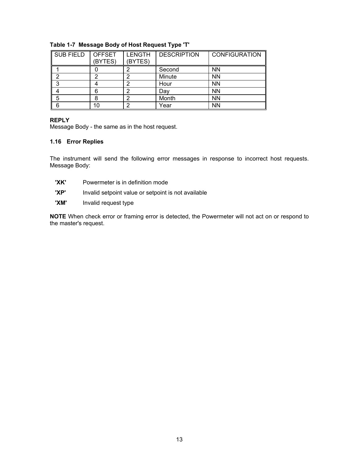| <b>SUB FIELD</b> | <b>OFFSET</b><br>(BYTES) | <b>LENGTH</b><br>(BYTES) | <b>DESCRIPTION</b> | <b>CONFIGURATION</b> |
|------------------|--------------------------|--------------------------|--------------------|----------------------|
|                  |                          |                          | Second             | <b>NN</b>            |
| ⌒                |                          |                          | Minute             | <b>NN</b>            |
| ◠                |                          |                          | Hour               | <b>NN</b>            |
|                  |                          |                          | Day                | <b>NN</b>            |
| 5                |                          |                          | Month              | <b>NN</b>            |
| 6                | 10                       |                          | Year               | <b>NN</b>            |

## **Table 1-7 Message Body of Host Request Type 'T'**

## **REPLY**

Message Body - the same as in the host request.

## <span id="page-13-0"></span>**1.16 Error Replies**

The instrument will send the following error messages in response to incorrect host requests. Message Body:

- **'XK'** Powermeter is in definition mode
- **'XP'** Invalid setpoint value or setpoint is not available
- **'XM'** Invalid request type

**NOTE** When check error or framing error is detected, the Powermeter will not act on or respond to the master's request.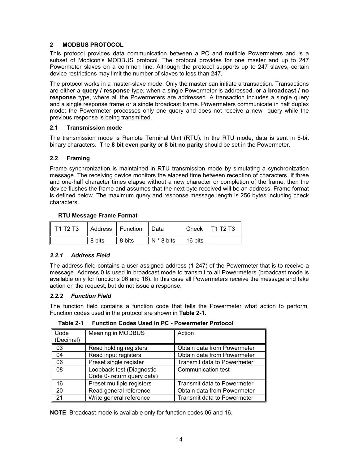## <span id="page-14-0"></span>**2 MODBUS PROTOCOL**

This protocol provides data communication between a PC and multiple Powermeters and is a subset of Modicon's MODBUS protocol. The protocol provides for one master and up to 247 Powermeter slaves on a common line. Although the protocol supports up to 247 slaves, certain device restrictions may limit the number of slaves to less than 247.

The protocol works in a master-slave mode. Only the master can initiate a transaction. Transactions are either a **query / response** type, when a single Powermeter is addressed, or a **broadcast / no response** type, where all the Powermeters are addressed. A transaction includes a single query and a single response frame or a single broadcast frame. Powermeters communicate in half duplex mode: the Powermeter processes only one query and does not receive a new query while the previous response is being transmitted.

## <span id="page-14-1"></span>**2.1 Transmission mode**

The transmission mode is Remote Terminal Unit (RTU). In the RTU mode, data is sent in 8-bit binary characters. The **8 bit even parity** or **8 bit no parity** should be set in the Powermeter.

## <span id="page-14-2"></span>**2.2 Framing**

Frame synchronization is maintained in RTU transmission mode by simulating a synchronization message. The receiving device monitors the elapsed time between reception of characters. If three and one-half character times elapse without a new character or completion of the frame, then the device flushes the frame and assumes that the next byte received will be an address. Frame format is defined below. The maximum query and response message length is 256 bytes including check characters.

## **RTU Message Frame Format**

| $\parallel$ T1 T2 T3 | Address   Function |        | I Data     |         | Check   $T1$ T2 T3 |
|----------------------|--------------------|--------|------------|---------|--------------------|
|                      | 8 bits             | 8 bits | N * 8 bits | 16 bits |                    |

## <span id="page-14-3"></span>*2.2.1 Address Field*

The address field contains a user assigned address (1-247) of the Powermeter that is to receive a message. Address 0 is used in broadcast mode to transmit to all Powermeters (broadcast mode is available only for functions 06 and 16). In this case all Powermeters receive the message and take action on the request, but do not issue a response.

## <span id="page-14-4"></span>*2.2.2 Function Field*

The function field contains a function code that tells the Powermeter what action to perform. Function codes used in the protocol are shown in **Table 2-1**.

| Code<br>(Decimal) | Meaning in MODBUS                                       | Action                             |
|-------------------|---------------------------------------------------------|------------------------------------|
| 03                | Read holding registers                                  | Obtain data from Powermeter        |
| 04                | Read input registers                                    | Obtain data from Powermeter        |
| 06                | Preset single register                                  | <b>Transmit data to Powermeter</b> |
| 08                | Loopback test (Diagnostic<br>Code 0- return query data) | Communication test                 |
| 16                | Preset multiple registers                               | <b>Transmit data to Powermeter</b> |
| 20                | Read general reference                                  | Obtain data from Powermeter        |
| 21                | Write general reference                                 | <b>Transmit data to Powermeter</b> |

**Table 2-1 Function Codes Used in PC - Powermeter Protocol** 

**NOTE** Broadcast mode is available only for function codes 06 and 16.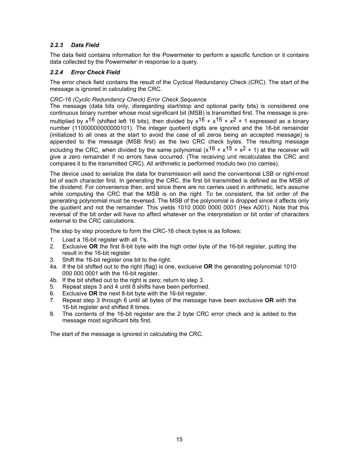## <span id="page-15-0"></span>*2.2.3 Data Field*

The data field contains information for the Powermeter to perform a specific function or it contains data collected by the Powermeter in response to a query.

## <span id="page-15-1"></span>*2.2.4 Error Check Field*

The error check field contains the result of the Cyclical Redundancy Check (CRC). The start of the message is ignored in calculating the CRC.

## *CRC-16 (Cyclic Redundancy Check) Error Check Sequence*

The message (data bits only, disregarding start/stop and optional parity bits) is considered one continuous binary number whose most significant bit (MSB) is transmitted first. The message is premultiplied by  $x^{16}$  (shifted left 16 bits), then divided by  $x^{16} + x^{15} + x^{2} + 1$  expressed as a binary number (11000000000000101). The integer quotient digits are ignored and the 16-bit remainder (initialized to all ones at the start to avoid the case of all zeros being an accepted message) is appended to the message (MSB first) as the two CRC check bytes. The resulting message including the CRC, when divided by the same polynomial  $(x^{16} + x^{15} + x^2 + 1)$  at the receiver will give a zero remainder if no errors have occurred. (The receiving unit recalculates the CRC and compares it to the transmitted CRC). All arithmetic is performed modulo two (no carries).

The device used to serialize the data for transmission will send the conventional LSB or right-most bit of each character first. In generating the CRC, the first bit transmitted is defined as the MSB of the dividend. For convenience then, and since there are no carries used in arithmetic, let's assume while computing the CRC that the MSB is on the right. To be consistent, the bit order of the generating polynomial must be reversed. The MSB of the polynomial is dropped since it affects only the quotient and not the remainder. This yields 1010 0000 0000 0001 (Hex A001). Note that this reversal of the bit order will have no affect whatever on the interpretation or bit order of characters external to the CRC calculations.

The step by step procedure to form the CRC-16 check bytes is as follows:

- 1. Load a 16-bit register with all 1's.
- 2. Exclusive **OR** the first 8-bit byte with the high order byte of the 16-bit register, putting the result in the 16-bit register.
- 3. Shift the 16-bit register one bit to the right.
- 4a. If the bit shifted out to the right (flag) is one, exclusive **OR** the generating polynomial 1010 000 000 0001 with the 16-bit register.
- 4b. If the bit shifted out to the right is zero; return to step 3.
- 5. Repeat steps 3 and 4 until 8 shifts have been performed.
- 6. Exclusive **OR** the next 8-bit byte with the 16-bit register.
- 7. Repeat step 3 through 6 until all bytes of the message have been exclusive **OR** with the 16-bit register and shifted 8 times.
- 8. The contents of the 16-bit register are the 2 byte CRC error check and is added to the message most significant bits first.

The start of the message is ignored in calculating the CRC.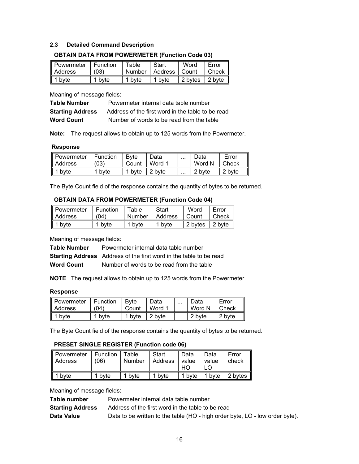## <span id="page-16-0"></span>**2.3 Detailed Command Description**

| Powermeter   Function<br>Address | (03)   | l Table | Start<br>Number   Address   Count | Word                         | Error<br>$ $ Check $ $ |
|----------------------------------|--------|---------|-----------------------------------|------------------------------|------------------------|
| 1 byte                           | 1 byte | 1 bvte  | 1 byte                            | 2 bytes   2 byte $\parallel$ |                        |

#### **OBTAIN DATA FROM POWERMETER (Function Code 03)**

Meaning of message fields:

| <b>Table Number</b>     | Powermeter internal data table number             |
|-------------------------|---------------------------------------------------|
| <b>Starting Address</b> | Address of the first word in the table to be read |
| <b>Word Count</b>       | Number of words to be read from the table         |

**Note:** The request allows to obtain up to 125 words from the Powermeter.

#### **Response**

| Powermeter   Function<br>Address | (03) | Bvte<br>Count | Data<br>I Word 1    | $\cdots$ | Data<br>Word N | Error<br>Check |
|----------------------------------|------|---------------|---------------------|----------|----------------|----------------|
| $\vert$ 1 byte                   | bvte | 1 byte        | $\mathsf{I}$ 2 byte | $\cdots$ | 2 byte         | 2 byte         |

The Byte Count field of the response contains the quantity of bytes to be returned.

## **OBTAIN DATA FROM POWERMETER (Function Code 04)**

| Powermeter     | Function          | Table             | <b>Start</b> | Word    | Error  |
|----------------|-------------------|-------------------|--------------|---------|--------|
| Address        | (04)              | Number            | Address      | Count   | Check  |
| $\vert$ 1 byte | <sup>1</sup> byte | <sup>1</sup> byte | 1 byte       | 2 bytes | 2 byte |

Meaning of message fields:

**Table Number** Powermeter internal data table number

**Starting Address** Address of the first word in the table to be read

**Word Count** Number of words to be read from the table

**NOTE** The request allows to obtain up to 125 words from the Powermeter.

#### **Response**

| Powermeter     | Function | <b>B</b> vte      | Data   | $\cdots$ | Data   | Error  |
|----------------|----------|-------------------|--------|----------|--------|--------|
| <b>Address</b> | '04)     | Count             | Word 1 |          | Word N | Check  |
| byte           | byte     | <sup>1</sup> byte | 2 byte | $\cdots$ | 2 byte | 2 byte |

The Byte Count field of the response contains the quantity of bytes to be returned.

## **PRESET SINGLE REGISTER (Function code 06)**

| ∥ Powermeter<br><b>Address</b> | Function<br>(06) | l Table<br><b>Number</b> | Start<br>  Address | Data<br>value<br>HО | Data<br>value | Error<br>check      |
|--------------------------------|------------------|--------------------------|--------------------|---------------------|---------------|---------------------|
| byte                           | 1 byte           | 1 byte                   | 1 byte             | 1 byte              | 1 byte        | 2 bytes $\parallel$ |

Meaning of message fields:

| Table number            | Powermeter internal data table number                                        |
|-------------------------|------------------------------------------------------------------------------|
| <b>Starting Address</b> | Address of the first word in the table to be read                            |
| Data Value              | Data to be written to the table (HO - high order byte, LO - low order byte). |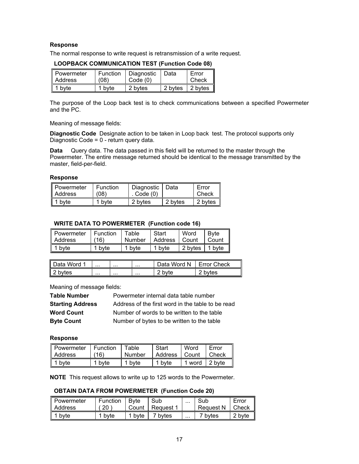## **Response**

The normal response to write request is retransmission of a write request.

| Powermeter | Function | Diagnostic | Data    | Error   |
|------------|----------|------------|---------|---------|
| Address    | (08)     | Code(0)    |         | Check   |
| 1 byte     | 1 byte   | 2 bytes    | 2 bytes | 2 bytes |

#### **LOOPBACK COMMUNICATION TEST (Function Code 08)**

The purpose of the Loop back test is to check communications between a specified Powermeter and the PC.

Meaning of message fields:

**Diagnostic Code** Designate action to be taken in Loop back test. The protocol supports only Diagnostic Code = 0 - return query data.

**Data** Query data. The data passed in this field will be returned to the master through the Powermeter. The entire message returned should be identical to the message transmitted by the master, field-per-field.

#### **Response**

| Powermeter | Function          | Diagnostic   Data |         | Error           |
|------------|-------------------|-------------------|---------|-----------------|
| I Address  | (08)              | Code (0)          |         | Check           |
| 1 byte     | <sup>1</sup> byte | 2 bytes           | 2 bytes | - II<br>2 bytes |

#### **WRITE DATA TO POWERMETER (Function code 16)**

| ll Powermeter | Function | Table             | Start   | Word    | <b>B</b> vte |
|---------------|----------|-------------------|---------|---------|--------------|
| ll Address    | 16)      | Number            | Address | l Count | Count        |
| 1 byte        | byte     | <sup>1</sup> byte | 1 byte  | 2 bytes | 1 byte       |

| l c<br>Data Word 1                | <br>. |          | Data Word N | <b>Error Check</b> |
|-----------------------------------|-------|----------|-------------|--------------------|
| $\overline{\mathsf{I2}}$<br>bvtes | <br>  | $\cdots$ | hvte        | bytes              |

Meaning of message fields:

| <b>Table Number</b>     | Powermeter internal data table number             |
|-------------------------|---------------------------------------------------|
| <b>Starting Address</b> | Address of the first word in the table to be read |
| <b>Word Count</b>       | Number of words to be written to the table        |
| <b>Byte Count</b>       | Number of bytes to be written to the table        |

## **Response**

| Powermeter     | i Function. | Table  | <b>Start</b>    | Word          | Error |
|----------------|-------------|--------|-----------------|---------------|-------|
| Address        | 16)         | Number | Address   Count |               | Check |
| $\vert$ 1 byte | 1 byte      | 1 byte | 1 byte          | 1 word 2 byte |       |

**NOTE** This request allows to write up to 125 words to the Powermeter.

#### **OBTAIN DATA FROM POWERMETER (Function Code 20)**

| ll Powermeter | Function | Bvte  | Sub       |          | Sub                | Error  |
|---------------|----------|-------|-----------|----------|--------------------|--------|
| ll Address    | 20       | Count | Request 1 |          | <b>Request N</b>   | Check  |
| byte          | bvte     | bvte  | 7 bvtes   | $\cdots$ | <sup>7</sup> hytes | 2 byte |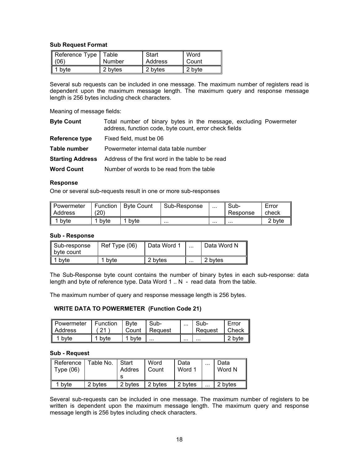#### **Sub Request Format**

| Reference Type   Table |         | Start   | Word   |
|------------------------|---------|---------|--------|
| (06)                   | Number  | Address | Count  |
| $\vert$ 1 byte         | 2 bytes | 2 bytes | 2 byte |

Several sub requests can be included in one message. The maximum number of registers read is dependent upon the maximum message length. The maximum query and response message length is 256 bytes including check characters.

Meaning of message fields:

| <b>Byte Count</b>       | Total number of binary bytes in the message, excluding Powermeter<br>address, function code, byte count, error check fields |
|-------------------------|-----------------------------------------------------------------------------------------------------------------------------|
| <b>Reference type</b>   | Fixed field, must be 06                                                                                                     |
| Table number            | Powermeter internal data table number                                                                                       |
| <b>Starting Address</b> | Address of the first word in the table to be read                                                                           |
| <b>Word Count</b>       | Number of words to be read from the table                                                                                   |
|                         |                                                                                                                             |

#### **Response**

One or several sub-requests result in one or more sub-responses

| ∥ Powermeter<br>ll Address | Function<br>(20) | <b>Byte Count</b> | Sub-Response | <br>Sub-<br>Response | Error<br>check |
|----------------------------|------------------|-------------------|--------------|----------------------|----------------|
| byte                       | byte             | byte              | $\cdots$     | <br>                 | 2 byte         |

#### **Sub - Response**

| Sub-response<br>byte count | Ref Type (06) | Data Word 1 | $\cdots$ | Data Word N |
|----------------------------|---------------|-------------|----------|-------------|
| bvte                       | byte          | 2 bytes     | $\cdots$ | 2 bytes     |

The Sub-Response byte count contains the number of binary bytes in each sub-response: data length and byte of reference type. Data Word 1 .. N - read data from the table.

The maximum number of query and response message length is 256 bytes.

#### **WRITE DATA TO POWERMETER (Function Code 21)**

| Powermeter<br>ll Address | Function | <b>B</b> vte<br>Count | Sub-<br>Reguest | <br>Sub-<br>Request | Error<br>Check |
|--------------------------|----------|-----------------------|-----------------|---------------------|----------------|
| byte                     | byte     | 1 byte                | $\cdots$        | <br>$\cdots$        | 2 byte         |

#### **Sub - Request**

| ∥ Reference<br>$\parallel$ Type (06) | Table No. | Start<br>Addres | Word<br>Count | Data<br>Word 1 | $\cdots$ | Data<br>Word N |
|--------------------------------------|-----------|-----------------|---------------|----------------|----------|----------------|
| bvte                                 | 2 bytes   | 2 bytes         | 2 bytes       | 2 bytes        | $\cdots$ | 2 bytes        |

Several sub-requests can be included in one message. The maximum number of registers to be written is dependent upon the maximum message length. The maximum query and response message length is 256 bytes including check characters.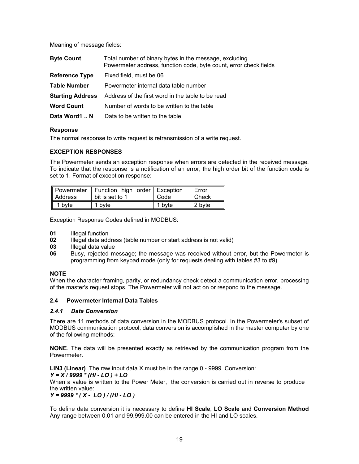Meaning of message fields:

| <b>Byte Count</b>       | Total number of binary bytes in the message, excluding<br>Powermeter address, function code, byte count, error check fields |
|-------------------------|-----------------------------------------------------------------------------------------------------------------------------|
| <b>Reference Type</b>   | Fixed field, must be 06                                                                                                     |
| <b>Table Number</b>     | Powermeter internal data table number                                                                                       |
| <b>Starting Address</b> | Address of the first word in the table to be read                                                                           |
| <b>Word Count</b>       | Number of words to be written to the table                                                                                  |
| Data Word1 N            | Data to be written to the table                                                                                             |

#### **Response**

The normal response to write request is retransmission of a write request.

## **EXCEPTION RESPONSES**

The Powermeter sends an exception response when errors are detected in the received message. To indicate that the response is a notification of an error, the high order bit of the function code is set to 1. Format of exception response:

| Address | Powermeter   Function high order   Exception<br>bit is set to 1 | Code   | Error<br>Check |
|---------|-----------------------------------------------------------------|--------|----------------|
| 1 byte  | 1 byte                                                          | 1 byte | 2 byte         |

Exception Response Codes defined in MODBUS:

- **01** Illegal function
- **02** Illegal data address (table number or start address is not valid)
- **03** Illegal data value
- **06** Busy, rejected message; the message was received without error, but the Powermeter is programming from keypad mode (only for requests dealing with tables #3 to #9).

## **NOTE**

When the character framing, parity, or redundancy check detect a communication error, processing of the master's request stops. The Powermeter will not act on or respond to the message.

## <span id="page-19-0"></span>**2.4 Powermeter Internal Data Tables**

## <span id="page-19-1"></span>*2.4.1 Data Conversion*

There are 11 methods of data conversion in the MODBUS protocol. In the Powermeter's subset of MODBUS communication protocol, data conversion is accomplished in the master computer by one of the following methods:

**NONE**. The data will be presented exactly as retrieved by the communication program from the Powermeter.

**LIN3 (Linear)**. The raw input data X must be in the range 0 - 9999. Conversion:

*Y = X / 9999 \* (HI - LO ) + LO* 

When a value is written to the Power Meter, the conversion is carried out in reverse to produce the written value:

*Y = 9999 \* ( X - LO ) / (HI - LO )* 

To define data conversion it is necessary to define **HI Scale**, **LO Scale** and **Conversion Method** Any range between 0.01 and 99,999.00 can be entered in the HI and LO scales.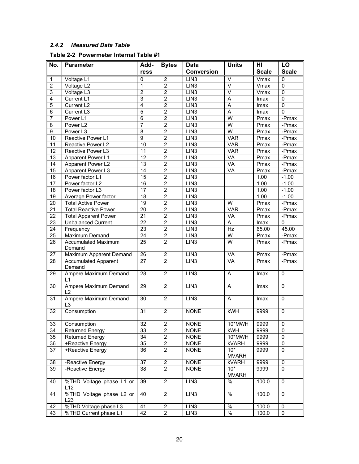# <span id="page-20-0"></span>*2.4.2 Measured Data Table*

## **Table 2-2 Powermeter Internal Table #1**

| No.                     | <b>Parameter</b>                        | Add-            | <b>Bytes</b>            | Data              | <b>Units</b>            | HI           | LO             |
|-------------------------|-----------------------------------------|-----------------|-------------------------|-------------------|-------------------------|--------------|----------------|
|                         |                                         | ress            |                         | <b>Conversion</b> |                         | <b>Scale</b> | <b>Scale</b>   |
| $\mathbf{1}$            | Voltage L1                              | 0               | $\overline{2}$          | LIN <sub>3</sub>  | $\vee$                  | Vmax         | 0              |
| $\overline{2}$          | Voltage L2                              | 1               | $\mathbf 2$             | LIN3              | $\overline{\vee}$       | Vmax         | 0              |
| $\overline{3}$          | Voltage L3                              | $\overline{2}$  | $\overline{2}$          | LIN3              | $\overline{\mathsf{v}}$ | Vmax         | $\Omega$       |
| $\overline{\mathbf{4}}$ | Current L1                              | 3               | $\overline{2}$          | LIN3              | $\overline{A}$          | Imax         | 0              |
| 5                       | Current L2                              | $\overline{4}$  | $\overline{2}$          | LIN3              | $\overline{A}$          | Imax         | $\overline{0}$ |
| 6                       | Current L3                              | 5               | $\overline{2}$          | LIN3              | $\overline{A}$          | Imax         | $\mathbf{0}$   |
| 7                       | Power L1                                | 6               | $\overline{\mathbf{c}}$ | LIN3              | W                       | Pmax         | -Pmax          |
| 8                       | Power L2                                | $\overline{7}$  | $\mathbf 2$             | LIN <sub>3</sub>  | $\overline{\mathsf{W}}$ | Pmax         | $-Pmax$        |
| $\overline{9}$          | Power L3                                | $\overline{8}$  | $\overline{2}$          | LIN3              | $\overline{\mathsf{W}}$ | Pmax         | -Pmax          |
| 10                      | Reactive Power L1                       | 9               | $\overline{2}$          | LIN <sub>3</sub>  | <b>VAR</b>              | Pmax         | -Pmax          |
| 11                      | Reactive Power L2                       | 10              | $\overline{2}$          | LIN <sub>3</sub>  | <b>VAR</b>              | Pmax         | -Pmax          |
| $\overline{12}$         | Reactive Power L3                       | 11              | $\overline{2}$          | LIN3              | <b>VAR</b>              | Pmax         | -Pmax          |
| $\overline{13}$         | Apparent Power L1                       | $\overline{12}$ | $\overline{2}$          | LIN <sub>3</sub>  | <b>VA</b>               | Pmax         | -Pmax          |
| 14                      | Apparent Power L2                       | 13              | $\mathbf 2$             | LIN <sub>3</sub>  | VA                      | Pmax         | -Pmax          |
| 15                      | Apparent Power L3                       | 14              | $\overline{\mathbf{c}}$ | LIN3              | VA                      | Pmax         | -Pmax          |
| 16                      | Power factor L1                         | 15              | $\overline{2}$          | LIN3              |                         | 1.00         | $-1.00$        |
| 17                      | Power factor L2                         | 16              | $\overline{2}$          | LIN <sub>3</sub>  |                         | 1.00         | $-1.00$        |
| $\overline{18}$         | Power factor L3                         | $\overline{17}$ | $\overline{2}$          | LIN3              |                         | 1.00         | $-1.00$        |
| 19                      | Average Power factor                    | $\overline{18}$ | $\overline{2}$          | LIN3              |                         | 1.00         | $-1.00$        |
| 20                      | <b>Total Active Power</b>               | $\overline{19}$ | $\overline{2}$          | LIN3              | W                       | Pmax         | $-Pmax$        |
| 21                      | <b>Total Reactive Power</b>             | 20              | $\boldsymbol{2}$        | LIN3              | <b>VAR</b>              | Pmax         | -Pmax          |
| 22                      | <b>Total Apparent Power</b>             | 21              | $\overline{2}$          | LIN3              | VA                      | Pmax         | -Pmax          |
| $\overline{23}$         | <b>Unbalanced Current</b>               | $\overline{22}$ | $\overline{2}$          | LIN3              | $\overline{A}$          | Imax         | 0              |
| 24                      | Frequency                               | 23              | $\overline{2}$          | LIN <sub>3</sub>  | Hz                      | 65.00        | 45.00          |
| 25                      | Maximum Demand                          | $\overline{24}$ | $\overline{2}$          | LIN3              | $\overline{\mathsf{W}}$ | Pmax         | $-Pmax$        |
| 26                      | <b>Accumulated Maximum</b><br>Demand    | 25              | $\overline{2}$          | LIN <sub>3</sub>  | $\overline{W}$          | Pmax         | $-Pmax$        |
| 27                      | Maximum Apparent Demand                 | 26              | $\overline{2}$          | LIN3              | VÄ                      | Pmax         | -Pmax          |
| 28                      | <b>Accumulated Apparent</b><br>Demand   | 27              | $\overline{2}$          | LIN3              | VA                      | Pmax         | -Pmax          |
| 29                      | Ampere Maximum Demand<br>L1             | 28              | $\overline{2}$          | LIN <sub>3</sub>  | A                       | Imax         | $\Omega$       |
| 30                      | Ampere Maximum Demand<br>L2             | 29              | $\overline{2}$          | LIN3              | A                       | Imax         | $\mathbf 0$    |
| 31                      | Ampere Maximum Demand<br>L <sub>3</sub> | $\overline{30}$ | $\overline{2}$          | LIN <sub>3</sub>  | $\overline{A}$          | Imax         | $\mathbf 0$    |
| 32                      | Consumption                             | 31              | $\overline{2}$          | <b>NONE</b>       | kWH                     | 9999         | $\Omega$       |
| 33                      | Consumption                             | 32              | $\overline{c}$          | <b>NONE</b>       | 10*MWH                  | 9999         | $\mathbf 0$    |
| 34                      | <b>Returned Energy</b>                  | 33              | $\overline{2}$          | <b>NONE</b>       | kWH                     | 9999         | $\mathbf 0$    |
| 35                      | <b>Returned Energy</b>                  | 34              | $\overline{c}$          | <b>NONE</b>       | 10*MWH                  | 9999         | 0              |
| 36                      | +Reactive Energy                        | 35              | $\overline{c}$          | <b>NONE</b>       | <b>kVARH</b>            | 9999         | 0              |
| 37                      | +Reactive Energy                        | 36              | 2                       | <b>NONE</b>       | $10*$<br><b>MVARH</b>   | 9999         | 0              |
| 38                      | -Reactive Energy                        | 37              | $\boldsymbol{2}$        | <b>NONE</b>       | <b>kVARH</b>            | 9999         | $\pmb{0}$      |
| 39                      | -Reactive Energy                        | 38              | $\overline{2}$          | <b>NONE</b>       | $10*$<br><b>MVARH</b>   | 9999         | $\mathbf{0}$   |
| 40                      | %THD Voltage phase L1 or<br>L12         | 39              | $\overline{2}$          | LIN <sub>3</sub>  | %                       | 100.0        | $\mathbf 0$    |
| 41                      | %THD Voltage phase L2 or<br>L23         | 40              | 2                       | LIN <sub>3</sub>  | $\frac{1}{6}$           | 100.0        | $\Omega$       |
| 42                      | %THD Voltage phase L3                   | 41              | $\overline{c}$          | LIN <sub>3</sub>  | $\%$                    | 100.0        | 0              |
| 43                      | %THD Current phase L1                   | 42              | 2                       | LIN <sub>3</sub>  | $\frac{1}{6}$           | 100.0        | 0              |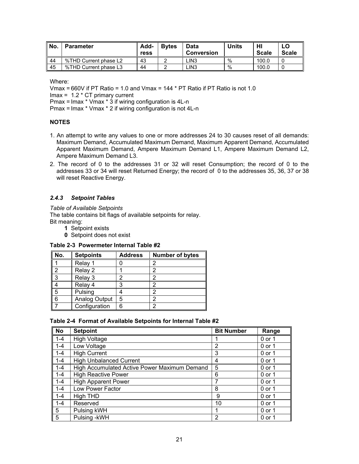| l No. | <b>Parameter</b>      | Add-<br>ress | <b>Bytes</b> | Data<br><b>Conversion</b> | Units | HI<br><b>Scale</b> | <b>Scale</b> |
|-------|-----------------------|--------------|--------------|---------------------------|-------|--------------------|--------------|
| -44   | %THD Current phase L2 | 43           |              | LIN3                      | %     | 100.0              |              |
| 45    | %THD Current phase L3 | 44           |              | LIN3                      | %     | 100.0              |              |

Where:

Vmax = 660V if PT Ratio = 1.0 and Vmax = 144 \* PT Ratio if PT Ratio is not 1.0

 $Imax = 1.2 * CT$  primary current

Pmax = Imax \* Vmax \* 3 if wiring configuration is 4L-n

Pmax = Imax \* Vmax \* 2 if wiring configuration is not 4L-n

## **NOTES**

- 1. An attempt to write any values to one or more addresses 24 to 30 causes reset of all demands: Maximum Demand, Accumulated Maximum Demand, Maximum Apparent Demand, Accumulated Apparent Maximum Demand, Ampere Maximum Demand L1, Ampere Maximum Demand L2, Ampere Maximum Demand L3.
- 2. The record of 0 to the addresses 31 or 32 will reset Consumption; the record of 0 to the addresses 33 or 34 will reset Returned Energy; the record of 0 to the addresses 35, 36, 37 or 38 will reset Reactive Energy.

## <span id="page-21-0"></span>*2.4.3 Setpoint Tables*

*Table of Available Setpoints* 

The table contains bit flags of available setpoints for relay. Bit meaning:

- **1** Setpoint exists
- **0** Setpoint does not exist

#### **Table 2-3 Powermeter Internal Table #2**

| No. | Setpoints     | <b>Address</b> | <b>Number of bytes</b> |
|-----|---------------|----------------|------------------------|
|     | Relay 1       |                |                        |
|     | Relay 2       |                |                        |
| 3   | Relay 3       | ŋ              |                        |
|     | Relay 4       | 3              |                        |
| 5   | Pulsing       |                |                        |
| 6   | Analog Output | 5              |                        |
|     | Configuration | 6              |                        |

#### **Table 2-4 Format of Available Setpoints for Internal Table #2**

| <b>No</b> | <b>Setpoint</b>                              | <b>Bit Number</b> | Range    |
|-----------|----------------------------------------------|-------------------|----------|
| $1 - 4$   | <b>High Voltage</b>                          |                   | 0 or 1   |
| $1 - 4$   | Low Voltage                                  | $\overline{2}$    | 0 or 1   |
| $1 - 4$   | <b>High Current</b>                          | 3                 | 0 or 1   |
| $1 - 4$   | <b>High Unbalanced Current</b>               | 4                 | 0 or 1   |
| $1 - 4$   | High Accumulated Active Power Maximum Demand | 5                 | 0 or 1   |
| $1 - 4$   | <b>High Reactive Power</b>                   | 6                 | 0 or 1   |
| $1 - 4$   | <b>High Apparent Power</b>                   |                   | $0$ or 1 |
| $1 - 4$   | Low Power Factor                             | 8                 | 0 or 1   |
| $1 - 4$   | High THD                                     | 9                 | 0 or 1   |
| $1 - 4$   | Reserved                                     | 10                | 0 or 1   |
| 5         | Pulsing kWH                                  |                   | 0 or 1   |
| 5         | Pulsing - kWH                                | 2                 | 0 or 1   |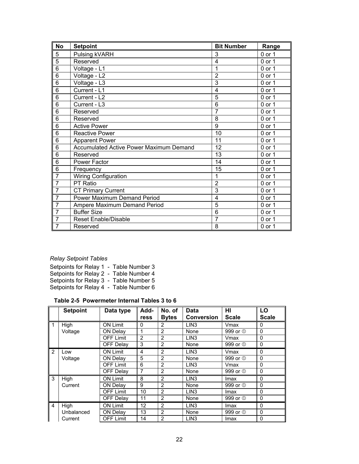| <b>No</b>      | <b>Setpoint</b>                                | <b>Bit Number</b> | Range    |
|----------------|------------------------------------------------|-------------------|----------|
| 5              | Pulsing kVARH                                  | 3                 | $0$ or 1 |
| 5              | Reserved                                       | 4                 | 0 or 1   |
| 6              | Voltage - L1                                   | 1                 | 0 or 1   |
| 6              | Voltage - L2                                   | $\overline{2}$    | $0$ or 1 |
| $\overline{6}$ | Voltage - L3                                   | 3                 | 0 or 1   |
| 6              | Current - L1                                   | 4                 | $0$ or 1 |
| 6              | Current - L2                                   | 5                 | 0 or 1   |
| 6              | Current - L3                                   | 6                 | 0 or 1   |
| 6              | Reserved                                       | $\overline{7}$    | 0 or 1   |
| 6              | Reserved                                       | 8                 | 0 or 1   |
| 6              | <b>Active Power</b>                            | 9                 | $0$ or 1 |
| 6              | <b>Reactive Power</b>                          | 10                | 0 or 1   |
| 6              | <b>Apparent Power</b>                          | 11                | 0 or 1   |
| 6              | <b>Accumulated Active Power Maximum Demand</b> | 12                | 0 or 1   |
| 6              | Reserved                                       | 13                | 0 or 1   |
| 6              | Power Factor                                   | 14                | 0 or 1   |
| 6              | Frequency                                      | 15                | 0 or 1   |
| $\overline{7}$ | Wiring Configuration                           | 1                 | 0 or 1   |
| $\overline{7}$ | PT Ratio                                       | $\overline{2}$    | 0 or 1   |
| $\overline{7}$ | <b>CT Primary Current</b>                      | 3                 | 0 or 1   |
| $\overline{7}$ | <b>Power Maximum Demand Period</b>             | 4                 | 0 or 1   |
| $\overline{7}$ | Ampere Maximum Demand Period                   | 5                 | 0 or 1   |
| $\overline{7}$ | <b>Buffer Size</b>                             | 6                 | 0 or 1   |
| $\overline{7}$ | <b>Reset Enable/Disable</b>                    | 7                 | 0 or 1   |
| $\overline{7}$ | Reserved                                       | 8                 | 0 or 1   |

# *Relay Setpoint Tables*

|  |  |  | Setpoints for Relay 1 - Table Number 3 |
|--|--|--|----------------------------------------|
|  |  |  | Setpoints for Relay 2 - Table Number 4 |
|  |  |  | Setpoints for Relay 3 - Table Number 5 |
|  |  |  | Setpoints for Relay 4 - Table Number 6 |

# **Table 2-5 Powermeter Internal Tables 3 to 6**

|                | <b>Setpoint</b> | Data type        | Add-           | No. of         | <b>Data</b>       | ΗI                  | LO           |
|----------------|-----------------|------------------|----------------|----------------|-------------------|---------------------|--------------|
|                |                 |                  | ress           | <b>Bytes</b>   | <b>Conversion</b> | <b>Scale</b>        | <b>Scale</b> |
| 1              | High            | <b>ON Limit</b>  | 0              | $\overline{2}$ | LIN <sub>3</sub>  | Vmax                | 0            |
|                | Voltage         | <b>ON Delav</b>  | 1              | $\overline{2}$ | None              | 999 or <sup>1</sup> | $\Omega$     |
|                |                 | <b>OFF Limit</b> | $\overline{2}$ | $\overline{2}$ | LIN <sub>3</sub>  | Vmax                | $\mathbf 0$  |
|                |                 | <b>OFF Delay</b> | 3              | $\overline{2}$ | None              | 999 or <sup>1</sup> | $\mathbf 0$  |
| $\overline{2}$ | Low             | <b>ON Limit</b>  | 4              | $\overline{2}$ | LIN <sub>3</sub>  | Vmax                | $\mathbf 0$  |
|                | Voltage         | ON Delav         | 5              | $\overline{2}$ | None              | 999 or <sup>1</sup> | $\mathbf 0$  |
|                |                 | <b>OFF Limit</b> | 6              | $\overline{2}$ | LIN <sub>3</sub>  | Vmax                | $\Omega$     |
|                |                 | OFF Delay        | 7              | $\overline{2}$ | None              | 999 or <sup>1</sup> | $\Omega$     |
| 3              | High            | <b>ON Limit</b>  | 8              | $\overline{2}$ | LIN <sub>3</sub>  | lmax                | $\Omega$     |
|                | Current         | ON Delay         | 9              | $\overline{2}$ | None              | 999 or <b>1</b>     | $\mathbf 0$  |
|                |                 | <b>OFF Limit</b> | 10             | $\overline{2}$ | LIN <sub>3</sub>  | lmax                | $\mathbf 0$  |
|                |                 | <b>OFF Delay</b> | 11             | $\overline{2}$ | None              | 999 or <b>1</b>     | 0            |
| $\overline{4}$ | High            | <b>ON Limit</b>  | 12             | $\overline{2}$ | LIN <sub>3</sub>  | lmax                | $\Omega$     |
|                | Unbalanced      | <b>ON Delay</b>  | 13             | $\overline{2}$ | None              | 999 or <sup>1</sup> | $\Omega$     |
|                | Current         | <b>OFF Limit</b> | 14             | $\overline{2}$ | LIN <sub>3</sub>  | Imax                | $\Omega$     |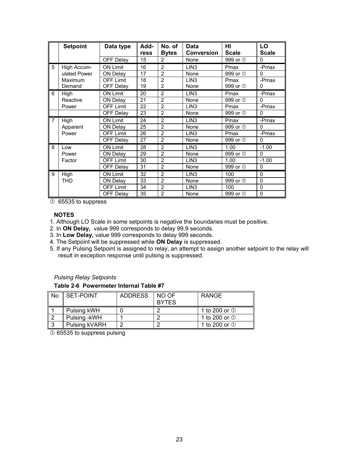|                | <b>Setpoint</b> | Data type        | Add- | No. of         | Data              | ΗI                  | LO           |
|----------------|-----------------|------------------|------|----------------|-------------------|---------------------|--------------|
|                |                 |                  | ress | <b>Bytes</b>   | <b>Conversion</b> | <b>Scale</b>        | <b>Scale</b> |
|                |                 | OFF Delay        | 15   | 2              | None              | 999 or <sup>1</sup> | $\Omega$     |
| 5              | High Accum-     | <b>ON Limit</b>  | 16   | $\overline{2}$ | LIN <sub>3</sub>  | Pmax                | -Pmax        |
|                | ulated Power    | ON Delay         | 17   | $\overline{2}$ | None              | 999 or <sup>1</sup> | $\Omega$     |
|                | <b>Maximum</b>  | <b>OFF Limit</b> | 18   | $\overline{2}$ | LIN <sub>3</sub>  | Pmax                | -Pmax        |
|                | Demand          | OFF Delay        | 19   | $\overline{2}$ | None              | 999 or <sup>1</sup> | 0            |
| 6              | High            | <b>ON Limit</b>  | 20   | $\overline{2}$ | LIN <sub>3</sub>  | Pmax                | -Pmax        |
|                | Reactive        | <b>ON Delay</b>  | 21   | $\overline{2}$ | None              | 999 or <sup>1</sup> | $\Omega$     |
|                | Power           | <b>OFF Limit</b> | 22   | $\overline{2}$ | LIN <sub>3</sub>  | Pmax                | -Pmax        |
|                |                 | OFF Delay        | 23   | $\overline{2}$ | None              | 999 or <sup>1</sup> | $\mathbf 0$  |
| $\overline{7}$ | High            | <b>ON Limit</b>  | 24   | $\overline{2}$ | LIN <sub>3</sub>  | Pmax                | -Pmax        |
|                | Apparent        | <b>ON Delay</b>  | 25   | $\overline{2}$ | None              | 999 or <sup>1</sup> | $\Omega$     |
|                | Power           | <b>OFF Limit</b> | 26   | $\overline{2}$ | LIN <sub>3</sub>  | Pmax                | -Pmax        |
|                |                 | OFF Delay        | 27   | $\overline{2}$ | None              | 999 or <sup>1</sup> | $\mathbf 0$  |
| 8              | Low             | <b>ON Limit</b>  | 28   | $\overline{2}$ | LIN <sub>3</sub>  | 1.00                | $-1.00$      |
|                | Power           | ON Delay         | 29   | $\overline{2}$ | None              | 999 or <sup>1</sup> | $\Omega$     |
|                | Factor          | <b>OFF Limit</b> | 30   | $\overline{2}$ | LIN <sub>3</sub>  | 1.00                | $-1.00$      |
|                |                 | OFF Delay        | 31   | $\overline{2}$ | None              | 999 or <sup>1</sup> | $\mathbf 0$  |
| 9              | High            | <b>ON Limit</b>  | 32   | $\overline{2}$ | LIN <sub>3</sub>  | 100                 | $\mathbf 0$  |
|                | <b>THD</b>      | ON Delay         | 33   | $\overline{2}$ | None              | 999 or <sup>1</sup> | $\mathbf 0$  |
|                |                 | <b>OFF Limit</b> | 34   | $\overline{2}$ | LIN <sub>3</sub>  | 100                 | $\mathbf 0$  |
|                |                 | <b>OFF Delay</b> | 35   | $\overline{2}$ | None              | 999 or <sup>1</sup> | $\mathbf 0$  |

 $\overline{0}$  65535 to suppress

## **NOTES**

1. Although LO Scale in some setpoints is negative the boundaries must be positive.

- 2. In **ON Delay,** value 999 corresponds to delay 99.9 seconds.
- 3. In **Low Delay,** value 999 corresponds to delay 999 seconds.
- 4. The Setpoint will be suppressed while **ON Delay** is suppressed.
- 5. If any Pulsing Setpoint is assigned to relay, an attempt to assign another setpoint to the relay will result in exception response until pulsing is suppressed.

## *Pulsing Relay Setpoints*

## **Table 2-6 Powermeter Internal Table #7**

| ll No | <b>SET-POINT</b> | <b>ADDRESS</b> | NO OF<br><b>BYTES</b> | <b>RANGE</b>            |
|-------|------------------|----------------|-----------------------|-------------------------|
|       | Pulsing kWH      |                |                       | 1 to 200 or $\mathbb O$ |
| ר II  | Pulsing - kWH    |                |                       | 1 to 200 or $\mathbb O$ |
| ר ו   | Pulsing kVARH    |                |                       | 1 to 200 or $\mathbb O$ |

 $O$  65535 to suppress pulsing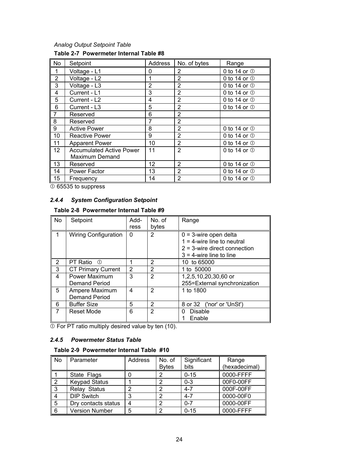## *Analog Output Setpoint Table*  **Table 2-7 Powermeter Internal Table #8**

| <b>No</b>      | Setpoint                        | Address | No. of bytes   | Range                  |
|----------------|---------------------------------|---------|----------------|------------------------|
|                | Voltage - L1                    | 0       | 2              | 0 to 14 or $\mathbb O$ |
| $\overline{2}$ | Voltage - L2                    | 1       | $\overline{2}$ | 0 to 14 or $\mathbb O$ |
| 3              | Voltage - L3                    | 2       | 2              | 0 to 14 or $\mathbb O$ |
| 4              | Current - L1                    | 3       | 2              | 0 to 14 or $\mathbb O$ |
| 5              | Current - L2                    | 4       | $\overline{2}$ | 0 to 14 or $\mathbb O$ |
| 6              | Current - L3                    | 5       | $\overline{2}$ | 0 to 14 or $\mathbb O$ |
| $\overline{7}$ | Reserved                        | 6       | $\overline{2}$ |                        |
| 8              | Reserved                        | 7       | $\overline{2}$ |                        |
| 9              | <b>Active Power</b>             | 8       | $\overline{2}$ | 0 to 14 or $\mathbb O$ |
| 10             | <b>Reactive Power</b>           | 9       | $\overline{2}$ | 0 to 14 or $\mathbb O$ |
| 11             | <b>Apparent Power</b>           | 10      | $\overline{2}$ | 0 to 14 or $\mathbb O$ |
| 12             | <b>Accumulated Active Power</b> | 11      | $\overline{2}$ | 0 to 14 or $\mathbb O$ |
|                | Maximum Demand                  |         |                |                        |
| 13             | Reserved                        | 12      | $\overline{2}$ | 0 to 14 or $\mathbb O$ |
| 14             | Power Factor                    | 13      | $\overline{2}$ | 0 to 14 or $\mathbb O$ |
| 15             | Frequency                       | 14      | $\overline{2}$ | 0 to 14 or $\mathbb O$ |

 $\overline{0}$  65535 to suppress

## *2.4.4 System Configuration Setpoint*

# <span id="page-24-0"></span>**Table 2-8 Powermeter Internal Table #9**

| N <sub>o</sub> | Setpoint                               | Add-<br>ress   | No. of<br>bytes | Range                                                                                                                      |
|----------------|----------------------------------------|----------------|-----------------|----------------------------------------------------------------------------------------------------------------------------|
|                | <b>Wiring Configuration</b>            | $\Omega$       | 2               | $0 = 3$ -wire open delta<br>$1 = 4$ -wire line to neutral<br>$2 = 3$ -wire direct connection<br>$3 = 4$ -wire line to line |
| 2              | PT Ratio ①                             |                | 2               | 10 to 65000                                                                                                                |
| 3              | <b>CT Primary Current</b>              | $\overline{2}$ | $\overline{2}$  | 1 to 50000                                                                                                                 |
| 4              | Power Maximum<br>Demand Period         | 3              | $\overline{2}$  | 1,2,5,10,20,30,60 or<br>255=External synchronization                                                                       |
| 5              | Ampere Maximum<br><b>Demand Period</b> | 4              | $\mathcal{P}$   | 1 to 1800                                                                                                                  |
| 6              | <b>Buffer Size</b>                     | 5              | 2               | 8 or 32 ('nor' or 'UnSt')                                                                                                  |
| 7              | Reset Mode                             | 6              | $\overline{2}$  | Disable<br>0<br>Enable                                                                                                     |

 $\overline{\textcircled{\tiny{1}}}$  For PT ratio multiply desired value by ten (10).

## *2.4.5 Powermeter Status Table*

## <span id="page-24-1"></span>**Table 2-9 Powermeter Internal Table #10**

| <b>No</b> | Parameter             | Address | No. of<br><b>Bytes</b> | Significant<br>bits | Range<br>(hexadecimal) |
|-----------|-----------------------|---------|------------------------|---------------------|------------------------|
|           | State Flags           |         |                        | $0 - 15$            | 0000-FFFF              |
|           | <b>Keypad Status</b>  |         |                        | $0 - 3$             | 00F0-00FF              |
| 3         | Relay Status          |         | າ                      | $4 - 7$             | 000F-00FF              |
|           | <b>DIP Switch</b>     |         | າ                      | $4 - 7$             | 0000-00F0              |
| 5         | Dry contacts status   |         | າ                      | $0 - 7$             | 0000-00FF              |
| 6         | <b>Version Number</b> | 5       | ⌒                      | $0 - 15$            | 0000-FFFF              |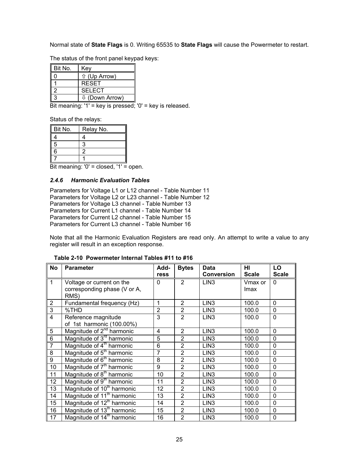Normal state of **State Flags** is 0. Writing 65535 to **State Flags** will cause the Powermeter to restart.

The status of the front panel keypad keys:

| Bit No. | Key                       |
|---------|---------------------------|
|         | <b>↑ (Up Arrow)</b>       |
|         | <b>RESET</b>              |
|         | <b>SELECT</b>             |
|         | $\downarrow$ (Down Arrow) |

Bit meaning: '1' = key is pressed; '0' = key is released.

Status of the relays:

| Bit No. | Relay No. |
|---------|-----------|
|         |           |
| 5       | વ         |
| 6       | 2         |
|         |           |

Bit meaning: '0' = closed, '1' = open.

## <span id="page-25-0"></span>*2.4.6 Harmonic Evaluation Tables*

Parameters for Voltage L1 or L12 channel - Table Number 11 Parameters for Voltage L2 or L23 channel - Table Number 12 Parameters for Voltage L3 channel - Table Number 13 Parameters for Current L1 channel - Table Number 14 Parameters for Current L2 channel - Table Number 15 Parameters for Current L3 channel - Table Number 16

Note that all the Harmonic Evaluation Registers are read only. An attempt to write a value to any register will result in an exception response.

| <b>No</b>      | <b>Parameter</b>                       | Add-           | <b>Bytes</b>   | <b>Data</b>       | HI           | LO           |
|----------------|----------------------------------------|----------------|----------------|-------------------|--------------|--------------|
|                |                                        | ress           |                | <b>Conversion</b> | <b>Scale</b> | <b>Scale</b> |
| $\overline{1}$ | Voltage or current on the              | $\mathbf{0}$   | $\mathfrak{p}$ | LIN <sub>3</sub>  | Vmax or      | 0            |
|                | corresponding phase (V or A,<br>RMS)   |                |                |                   | lmax         |              |
|                |                                        |                |                |                   |              |              |
| $\overline{2}$ | Fundamental frequency (Hz)             | 1              | $\overline{2}$ | LIN <sub>3</sub>  | 100.0        | 0            |
| $\overline{3}$ | %THD                                   | $\overline{2}$ | $\overline{2}$ | LIN <sub>3</sub>  | 100.0        | 0            |
| $\overline{4}$ | Reference magnitude                    | 3              | $\overline{2}$ | LIN <sub>3</sub>  | 100.0        | $\mathbf{0}$ |
|                | of 1st harmonic (100.00%)              |                |                |                   |              |              |
| 5              | Magnitude of 2 <sup>nd</sup> harmonic  | 4              | $\overline{2}$ | LIN <sub>3</sub>  | 100.0        | $\Omega$     |
| 6              | Magnitude of 3 <sup>rd</sup> harmonic  | 5              | $\overline{2}$ | LIN <sub>3</sub>  | 100.0        | 0            |
| $\overline{7}$ | Magnitude of 4 <sup>th</sup> harmonic  | 6              | $\overline{2}$ | LIN <sub>3</sub>  | 100.0        | 0            |
| 8              | Magnitude of 5 <sup>th</sup> harmonic  | $\overline{7}$ | $\overline{2}$ | LIN <sub>3</sub>  | 100.0        | 0            |
| $\overline{9}$ | Magnitude of 6 <sup>th</sup> harmonic  | 8              | $\overline{2}$ | LIN <sub>3</sub>  | 100.0        | 0            |
| 10             | Magnitude of 7 <sup>th</sup> harmonic  | 9              | $\overline{2}$ | LIN <sub>3</sub>  | 100.0        | 0            |
| 11             | Magnitude of 8 <sup>th</sup> harmonic  | 10             | $\overline{2}$ | LIN <sub>3</sub>  | 100.0        | 0            |
| 12             | Magnitude of 9 <sup>th</sup> harmonic  | 11             | $\overline{2}$ | LIN <sub>3</sub>  | 100.0        | 0            |
| 13             | Magnitude of 10 <sup>th</sup> harmonic | 12             | $\overline{2}$ | LIN <sub>3</sub>  | 100.0        | 0            |
| 14             | Magnitude of 11 <sup>th</sup> harmonic | 13             | $\overline{2}$ | LIN <sub>3</sub>  | 100.0        | 0            |
| 15             | Magnitude of 12 <sup>th</sup> harmonic | 14             | $\overline{2}$ | LIN <sub>3</sub>  | 100.0        | 0            |
| 16             | Magnitude of 13 <sup>th</sup> harmonic | 15             | $\overline{2}$ | LIN <sub>3</sub>  | 100.0        | 0            |
| 17             | Magnitude of 14 <sup>th</sup> harmonic | 16             | $\overline{2}$ | LIN <sub>3</sub>  | 100.0        | 0            |

**Table 2-10 Powermeter Internal Tables #11 to #16**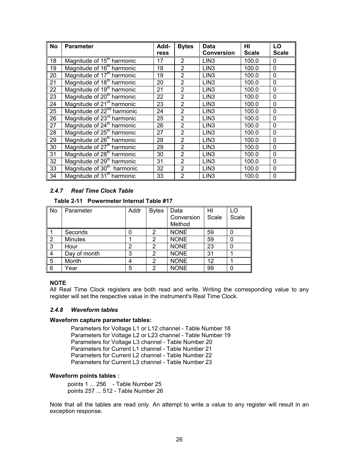| <b>No</b> | <b>Parameter</b>                       | Add- | <b>Bytes</b>   | Data              | HI           | LO           |
|-----------|----------------------------------------|------|----------------|-------------------|--------------|--------------|
|           |                                        | ress |                | <b>Conversion</b> | <b>Scale</b> | <b>Scale</b> |
| 18        | Magnitude of 15 <sup>th</sup> harmonic | 17   | $\overline{2}$ | LIN <sub>3</sub>  | 100.0        | 0            |
| 19        | Magnitude of 16 <sup>th</sup> harmonic | 18   | $\overline{2}$ | LIN <sub>3</sub>  | 100.0        | 0            |
| 20        | Magnitude of 17 <sup>th</sup> harmonic | 19   | $\overline{2}$ | LIN <sub>3</sub>  | 100.0        | $\mathbf 0$  |
| 21        | Magnitude of 18 <sup>th</sup> harmonic | 20   | $\overline{2}$ | LIN <sub>3</sub>  | 100.0        | $\mathbf 0$  |
| 22        | Magnitude of 19 <sup>th</sup> harmonic | 21   | $\overline{2}$ | LIN <sub>3</sub>  | 100.0        | $\mathbf 0$  |
| 23        | Magnitude of 20 <sup>th</sup> harmonic | 22   | $\overline{2}$ | LIN <sub>3</sub>  | 100.0        | $\Omega$     |
| 24        | Magnitude of 21 <sup>st</sup> harmonic | 23   | $\overline{2}$ | LIN <sub>3</sub>  | 100.0        | $\Omega$     |
| 25        | Magnitude of 22 <sup>nd</sup> harmonic | 24   | $\overline{2}$ | LIN <sub>3</sub>  | 100.0        | $\mathbf 0$  |
| 26        | Magnitude of 23 <sup>rd</sup> harmonic | 25   | $\overline{2}$ | LIN <sub>3</sub>  | 100.0        | $\mathbf{0}$ |
| 27        | Magnitude of 24 <sup>th</sup> harmonic | 26   | $\overline{2}$ | LIN <sub>3</sub>  | 100.0        | $\mathbf{0}$ |
| 28        | Magnitude of 25 <sup>th</sup> harmonic | 27   | $\overline{2}$ | LIN <sub>3</sub>  | 100.0        | $\mathbf 0$  |
| 29        | Magnitude of 26 <sup>th</sup> harmonic | 28   | $\overline{2}$ | LIN <sub>3</sub>  | 100.0        | $\mathbf{0}$ |
| 30        | Magnitude of 27 <sup>th</sup> harmonic | 29   | 2              | LIN <sub>3</sub>  | 100.0        | $\mathbf{0}$ |
| 31        | Magnitude of 28 <sup>th</sup> harmonic | 30   | $\overline{2}$ | LIN <sub>3</sub>  | 100.0        | $\mathbf{0}$ |
| 32        | Magnitude of 29 <sup>th</sup> harmonic | 31   | $\overline{2}$ | LIN <sub>3</sub>  | 100.0        | 0            |
| 33        | Magnitude of 30 <sup>th</sup> harmonic | 32   | $\overline{2}$ | LIN <sub>3</sub>  | 100.0        | $\mathbf 0$  |
| 34        | Magnitude of 31 <sup>st</sup> harmonic | 33   | 2              | LIN <sub>3</sub>  | 100.0        | 0            |

## *2.4.7 Real Time Clock Table*

## <span id="page-26-0"></span>**Table 2-11 Powermeter Internal Table #17**

| No | Parameter      | Addr | <b>Bytes</b> | Data        | нı    | LO    |
|----|----------------|------|--------------|-------------|-------|-------|
|    |                |      |              | Conversion  | Scale | Scale |
|    |                |      |              | Method      |       |       |
|    | Seconds        | 0    | 2            | <b>NONE</b> | 59    | O     |
| 2  | <b>Minutes</b> |      | 2            | <b>NONE</b> | 59    | 0     |
| 3  | Hour           | 2    | 2            | <b>NONE</b> | 23    | 0     |
| 4  | Day of month   | 3    | 2            | <b>NONE</b> | 31    |       |
| 5  | Month          | 4    | 2            | <b>NONE</b> | 12    |       |
| 6  | Year           | 5    | 2            | <b>NONE</b> | 99    | 0     |

#### **NOTE**

All Real Time Clock registers are both read and write. Writing the corresponding value to any register will set the respective value in the instrument's Real Time Clock.

#### *2.4.8 Waveform tables*

#### **Waveform capture parameter tables:**

<span id="page-26-1"></span> Parameters for Voltage L1 or L12 channel - Table Number 18 Parameters for Voltage L2 or L23 channel - Table Number 19 Parameters for Voltage L3 channel - Table Number 20 Parameters for Current L1 channel - Table Number 21 Parameters for Current L2 channel - Table Number 22 Parameters for Current L3 channel - Table Number 23

#### **Waveform points tables :**

points 1 ... 256 - Table Number 25 points 257 ... 512 - Table Number 26

Note that all the tables are read only. An attempt to write a value to any register will result in an exception response.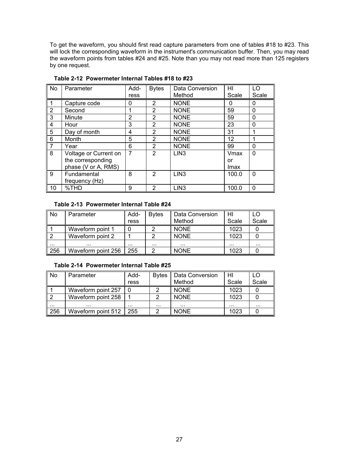To get the waveform, you should first read capture parameters from one of tables #18 to #23. This will lock the corresponding waveform in the instrument's communication buffer. Then, you may read the waveform points from tables #24 and #25. Note than you may not read more than 125 registers by one request.

| $\overline{\mathsf{No}}$ | Parameter             | Add-           | <b>Bytes</b>   | Data Conversion  | HI    | LO          |
|--------------------------|-----------------------|----------------|----------------|------------------|-------|-------------|
|                          |                       | ress           |                | Method           | Scale | Scale       |
| $\overline{1}$           | Capture code          | 0              | 2              | <b>NONE</b>      | 0     | 0           |
| $\sqrt{2}$               | Second                |                | 2              | <b>NONE</b>      | 59    | $\Omega$    |
| ∏3                       | Minute                | $\overline{2}$ | 2              | <b>NONE</b>      | 59    | $\mathbf 0$ |
| $\sqrt{4}$               | Hour                  | 3              | $\overline{2}$ | <b>NONE</b>      | 23    | $\Omega$    |
| ∥ 5                      | Day of month          | 4              | 2              | <b>NONE</b>      | 31    |             |
| 6                        | Month                 | 5              | $\overline{2}$ | <b>NONE</b>      | 12    |             |
| 7                        | Year                  | 6              | $\overline{2}$ | <b>NONE</b>      | 99    | 0           |
| $\overline{\mathsf{B}}$  | Voltage or Current on | 7              | $\mathfrak{p}$ | LIN <sub>3</sub> | Vmax  | $\Omega$    |
|                          | the corresponding     |                |                |                  | or    |             |
|                          | phase (V or A, RMS)   |                |                |                  | Imax  |             |
| <b>9</b>                 | Fundamental           | 8              | 2              | LIN <sub>3</sub> | 100.0 | $\Omega$    |
|                          | frequency (Hz)        |                |                |                  |       |             |
| ∥ 10                     | %THD                  | 9              | 2              | LIN <sub>3</sub> | 100.0 | $\Omega$    |

**Table 2-12 Powermeter Internal Tables #18 to #23** 

## **Table 2-13 Powermeter Internal Table #24**

| l No     | Parameter          | Add- | <b>B</b> vtes | Data Conversion | HI    | LO    |
|----------|--------------------|------|---------------|-----------------|-------|-------|
|          |                    | ress |               | Method          | Scale | Scale |
|          | Waveform point 1   |      |               | <b>NONE</b>     | 1023  |       |
|          | Waveform point 2   |      |               | <b>NONE</b>     | 1023  |       |
| $\cdots$ |                    |      | .             |                 |       |       |
| 256      | Waveform point 256 | 255  |               | <b>NONE</b>     | 1023  |       |

## **Table 2-14 Powermeter Internal Table #25**

| No  | Parameter          | Add- | <b>Bytes</b> | Data Conversion | HI    | LC       |
|-----|--------------------|------|--------------|-----------------|-------|----------|
|     |                    | ress |              | Method          | Scale | Scale    |
|     | Waveform point 257 |      |              | <b>NONE</b>     | 1023  |          |
|     | Waveform point 258 |      | 2            | <b>NONE</b>     | 1023  |          |
| .   |                    |      |              |                 |       | $\cdots$ |
| 256 | Waveform point 512 | 255  |              | <b>NONE</b>     | 1023  |          |